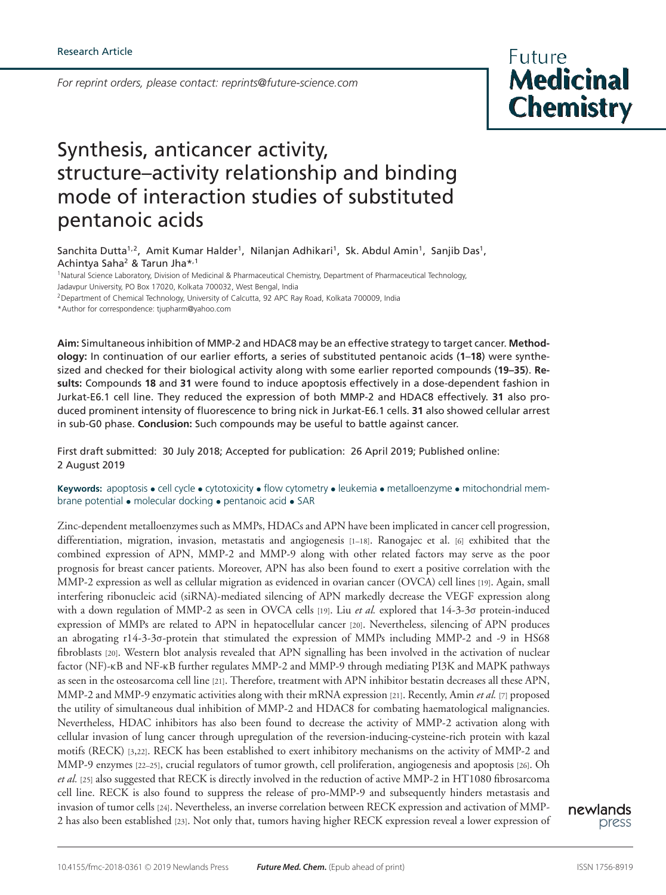*For reprint orders, please contact: reprints@future-science.com*

**Future Medicinal Chemistry** 

# Synthesis, anticancer activity, structure–activity relationship and binding mode of interaction studies of substituted pentanoic acids

Sanchita Dutta<sup>1,2</sup>, Amit Kumar Halder<sup>1</sup>, Nilanjan Adhikari<sup>1</sup>, Sk. Abdul Amin<sup>1</sup>, Sanjib Das<sup>1</sup>, Achintya Saha<sup>2</sup> & Tarun Jha\*,1

<sup>1</sup> Natural Science Laboratory, Division of Medicinal & Pharmaceutical Chemistry, Department of Pharmaceutical Technology, Jadavpur University, PO Box 17020, Kolkata 700032, West Bengal, India

<sup>2</sup>Department of Chemical Technology, University of Calcutta, 92 APC Ray Road, Kolkata 700009, India

\*Author for correspondence: tjupharm@yahoo.com

**Aim:** Simultaneous inhibition of MMP-2 and HDAC8 may be an effective strategy to target cancer. **Methodology:** In continuation of our earlier efforts, a series of substituted pentanoic acids (**1**–**18**) were synthesized and checked for their biological activity along with some earlier reported compounds (**19–35**). **Results:** Compounds **18** and **31** were found to induce apoptosis effectively in a dose-dependent fashion in Jurkat-E6.1 cell line. They reduced the expression of both MMP-2 and HDAC8 effectively. **31** also produced prominent intensity of fluorescence to bring nick in Jurkat-E6.1 cells. **31** also showed cellular arrest in sub-G0 phase. **Conclusion:** Such compounds may be useful to battle against cancer.

First draft submitted: 30 July 2018; Accepted for publication: 26 April 2019; Published online: 2 August 2019

**Keywords:** apoptosis • cell cycle • cytotoxicity • flow cytometry • leukemia • metalloenzyme • mitochondrial membrane potential • molecular docking • pentanoic acid • SAR

Zinc-dependent metalloenzymes such as MMPs, HDACs and APN have been implicated in cancer cell progression, differentiation, migration, invasion, metastatis and angiogenesis [1–18]. Ranogajec et al. [6] exhibited that the combined expression of APN, MMP-2 and MMP-9 along with other related factors may serve as the poor prognosis for breast cancer patients. Moreover, APN has also been found to exert a positive correlation with the MMP-2 expression as well as cellular migration as evidenced in ovarian cancer (OVCA) cell lines [19]. Again, small interfering ribonucleic acid (siRNA)-mediated silencing of APN markedly decrease the VEGF expression along with a down regulation of MMP-2 as seen in OVCA cells [19]. Liu *et al.* explored that 14-3-3σ protein-induced expression of MMPs are related to APN in hepatocellular cancer [20]. Nevertheless, silencing of APN produces an abrogating r14-3-3σ-protein that stimulated the expression of MMPs including MMP-2 and -9 in HS68 fibroblasts [20]. Western blot analysis revealed that APN signalling has been involved in the activation of nuclear factor (NF)-κB and NF-κB further regulates MMP-2 and MMP-9 through mediating PI3K and MAPK pathways as seen in the osteosarcoma cell line [21]. Therefore, treatment with APN inhibitor bestatin decreases all these APN, MMP-2 and MMP-9 enzymatic activities along with their mRNA expression [21]. Recently, Amin *et al.* [7] proposed the utility of simultaneous dual inhibition of MMP-2 and HDAC8 for combating haematological malignancies. Nevertheless, HDAC inhibitors has also been found to decrease the activity of MMP-2 activation along with cellular invasion of lung cancer through upregulation of the reversion-inducing-cysteine-rich protein with kazal motifs (RECK) [3,22]. RECK has been established to exert inhibitory mechanisms on the activity of MMP-2 and MMP-9 enzymes [22–25], crucial regulators of tumor growth, cell proliferation, angiogenesis and apoptosis [26]. Oh *et al.* [25] also suggested that RECK is directly involved in the reduction of active MMP-2 in HT1080 fibrosarcoma cell line. RECK is also found to suppress the release of pro-MMP-9 and subsequently hinders metastasis and invasion of tumor cells [24]. Nevertheless, an inverse correlation between RECK expression and activation of MMP-2 has also been established [23]. Not only that, tumors having higher RECK expression reveal a lower expression of

newlands press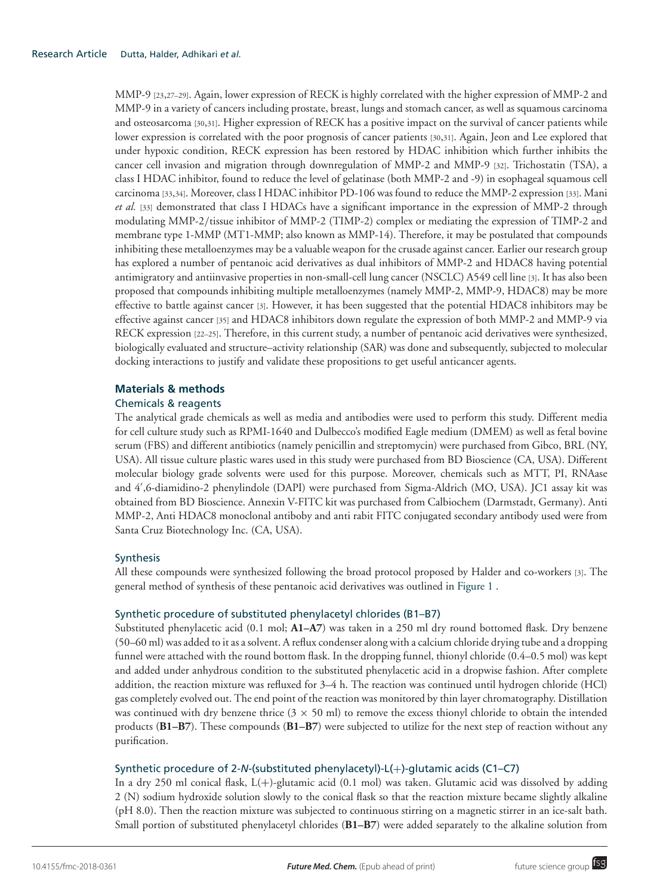MMP-9 [23,27–29]. Again, lower expression of RECK is highly correlated with the higher expression of MMP-2 and MMP-9 in a variety of cancers including prostate, breast, lungs and stomach cancer, as well as squamous carcinoma and osteosarcoma [30,31]. Higher expression of RECK has a positive impact on the survival of cancer patients while lower expression is correlated with the poor prognosis of cancer patients [30,31]. Again, Jeon and Lee explored that under hypoxic condition, RECK expression has been restored by HDAC inhibition which further inhibits the cancer cell invasion and migration through downregulation of MMP-2 and MMP-9 [32]. Trichostatin (TSA), a class I HDAC inhibitor, found to reduce the level of gelatinase (both MMP-2 and -9) in esophageal squamous cell carcinoma [33,34]. Moreover, class I HDAC inhibitor PD-106 was found to reduce the MMP-2 expression [33]. Mani *et al.* [33] demonstrated that class I HDACs have a significant importance in the expression of MMP-2 through modulating MMP-2/tissue inhibitor of MMP-2 (TIMP-2) complex or mediating the expression of TIMP-2 and membrane type 1-MMP (MT1-MMP; also known as MMP-14). Therefore, it may be postulated that compounds inhibiting these metalloenzymes may be a valuable weapon for the crusade against cancer. Earlier our research group has explored a number of pentanoic acid derivatives as dual inhibitors of MMP-2 and HDAC8 having potential antimigratory and antiinvasive properties in non-small-cell lung cancer (NSCLC) A549 cell line [3]. It has also been proposed that compounds inhibiting multiple metalloenzymes (namely MMP-2, MMP-9, HDAC8) may be more effective to battle against cancer [3]. However, it has been suggested that the potential HDAC8 inhibitors may be effective against cancer [35] and HDAC8 inhibitors down regulate the expression of both MMP-2 and MMP-9 via RECK expression [22–25]. Therefore, in this current study, a number of pentanoic acid derivatives were synthesized, biologically evaluated and structure–activity relationship (SAR) was done and subsequently, subjected to molecular docking interactions to justify and validate these propositions to get useful anticancer agents.

## **Materials & methods**

## Chemicals & reagents

The analytical grade chemicals as well as media and antibodies were used to perform this study. Different media for cell culture study such as RPMI-1640 and Dulbecco's modified Eagle medium (DMEM) as well as fetal bovine serum (FBS) and different antibiotics (namely penicillin and streptomycin) were purchased from Gibco, BRL (NY, USA). All tissue culture plastic wares used in this study were purchased from BD Bioscience (CA, USA). Different molecular biology grade solvents were used for this purpose. Moreover, chemicals such as MTT, PI, RNAase and 4′ ,6-diamidino-2 phenylindole (DAPI) were purchased from Sigma-Aldrich (MO, USA). JC1 assay kit was obtained from BD Bioscience. Annexin V-FITC kit was purchased from Calbiochem (Darmstadt, Germany). Anti MMP-2, Anti HDAC8 monoclonal antiboby and anti rabit FITC conjugated secondary antibody used were from Santa Cruz Biotechnology Inc. (CA, USA).

## Synthesis

All these compounds were synthesized following the broad protocol proposed by Halder and co-workers [3]. The general method of synthesis of these pentanoic acid derivatives was outlined in Figure 1 .

## Synthetic procedure of substituted phenylacetyl chlorides (B1–B7)

Substituted phenylacetic acid (0.1 mol; **A1–A7**) was taken in a 250 ml dry round bottomed flask. Dry benzene (50–60 ml) was added to it as a solvent. A reflux condenser along with a calcium chloride drying tube and a dropping funnel were attached with the round bottom flask. In the dropping funnel, thionyl chloride (0.4–0.5 mol) was kept and added under anhydrous condition to the substituted phenylacetic acid in a dropwise fashion. After complete addition, the reaction mixture was refluxed for 3–4 h. The reaction was continued until hydrogen chloride (HCl) gas completely evolved out. The end point of the reaction was monitored by thin layer chromatography. Distillation was continued with dry benzene thrice  $(3 \times 50 \text{ ml})$  to remove the excess thionyl chloride to obtain the intended products (**B1–B7**). These compounds (**B1–B7**) were subjected to utilize for the next step of reaction without any purification.

## Synthetic procedure of 2-*N*-(substituted phenylacetyl)-L(+)-glutamic acids (C1–C7)

In a dry 250 ml conical flask,  $L(+)$ -glutamic acid (0.1 mol) was taken. Glutamic acid was dissolved by adding 2 (N) sodium hydroxide solution slowly to the conical flask so that the reaction mixture became slightly alkaline (pH 8.0). Then the reaction mixture was subjected to continuous stirring on a magnetic stirrer in an ice-salt bath. Small portion of substituted phenylacetyl chlorides (**B1–B7**) were added separately to the alkaline solution from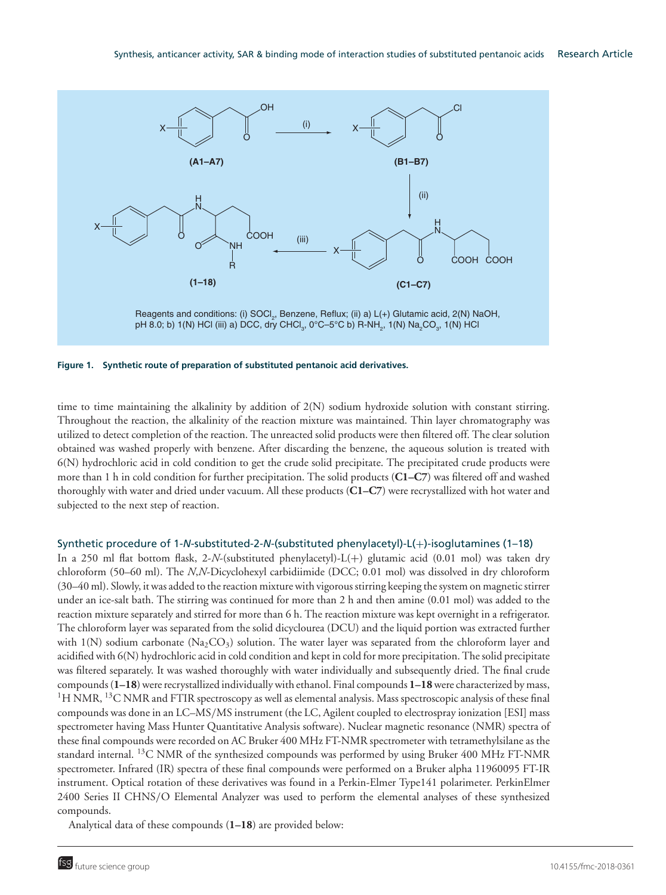

**Figure 1. Synthetic route of preparation of substituted pentanoic acid derivatives.**

time to time maintaining the alkalinity by addition of 2(N) sodium hydroxide solution with constant stirring. Throughout the reaction, the alkalinity of the reaction mixture was maintained. Thin layer chromatography was utilized to detect completion of the reaction. The unreacted solid products were then filtered off. The clear solution obtained was washed properly with benzene. After discarding the benzene, the aqueous solution is treated with 6(N) hydrochloric acid in cold condition to get the crude solid precipitate. The precipitated crude products were more than 1 h in cold condition for further precipitation. The solid products (**C1–C7**) was filtered off and washed thoroughly with water and dried under vacuum. All these products (**C1–C7**) were recrystallized with hot water and subjected to the next step of reaction.

#### Synthetic procedure of 1-*N*-substituted-2-*N*-(substituted phenylacetyl)-L(+)-isoglutamines (1–18)

In a 250 ml flat bottom flask, 2-*N*-(substituted phenylacetyl)-L(+) glutamic acid (0.01 mol) was taken dry chloroform (50–60 ml). The *N*,*N*-Dicyclohexyl carbidiimide (DCC; 0.01 mol) was dissolved in dry chloroform (30–40 ml). Slowly, it was added to the reaction mixture with vigorous stirring keeping the system on magnetic stirrer under an ice-salt bath. The stirring was continued for more than 2 h and then amine (0.01 mol) was added to the reaction mixture separately and stirred for more than 6 h. The reaction mixture was kept overnight in a refrigerator. The chloroform layer was separated from the solid dicyclourea (DCU) and the liquid portion was extracted further with 1(N) sodium carbonate (Na<sub>2</sub>CO<sub>3</sub>) solution. The water layer was separated from the chloroform layer and acidified with 6(N) hydrochloric acid in cold condition and kept in cold for more precipitation. The solid precipitate was filtered separately. It was washed thoroughly with water individually and subsequently dried. The final crude compounds (**1–18**) were recrystallized individually with ethanol. Final compounds **1–18**were characterized by mass, <sup>1</sup>H NMR, <sup>13</sup>C NMR and FTIR spectroscopy as well as elemental analysis. Mass spectroscopic analysis of these final compounds was done in an LC–MS/MS instrument (the LC, Agilent coupled to electrospray ionization [ESI] mass spectrometer having Mass Hunter Quantitative Analysis software). Nuclear magnetic resonance (NMR) spectra of these final compounds were recorded on AC Bruker 400 MHz FT-NMR spectrometer with tetramethylsilane as the standard internal. <sup>13</sup>C NMR of the synthesized compounds was performed by using Bruker 400 MHz FT-NMR spectrometer. Infrared (IR) spectra of these final compounds were performed on a Bruker alpha 11960095 FT-IR instrument. Optical rotation of these derivatives was found in a Perkin-Elmer Type141 polarimeter. PerkinElmer 2400 Series II CHNS/O Elemental Analyzer was used to perform the elemental analyses of these synthesized compounds.

Analytical data of these compounds (**1–18**) are provided below: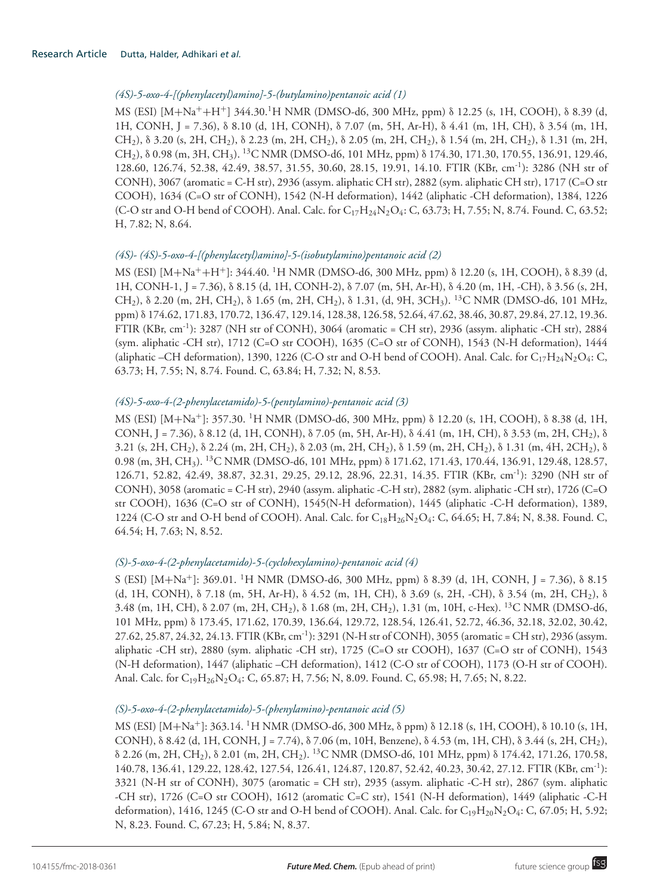# *(4S)-5-oxo-4-[(phenylacetyl)amino]-5-(butylamino)pentanoic acid (1)*

MS (ESI) [M+Na++H+] 344.30.<sup>1</sup>H NMR (DMSO-d6, 300 MHz, ppm) δ 12.25 (s, 1H, COOH), δ 8.39 (d, 1H, CONH, J = 7.36), δ 8.10 (d, 1H, CONH), δ 7.07 (m, 5H, Ar-H), δ 4.41 (m, 1H, CH), δ 3.54 (m, 1H, CH2), δ 3.20 (s, 2H, CH2), δ 2.23 (m, 2H, CH2), δ 2.05 (m, 2H, CH2), δ 1.54 (m, 2H, CH2), δ 1.31 (m, 2H, CH2), δ 0.98 (m, 3H, CH3). <sup>13</sup>C NMR (DMSO-d6, 101 MHz, ppm) δ 174.30, 171.30, 170.55, 136.91, 129.46, 128.60, 126.74, 52.38, 42.49, 38.57, 31.55, 30.60, 28.15, 19.91, 14.10. FTIR (KBr, cm-1): 3286 (NH str of CONH), 3067 (aromatic = C-H str), 2936 (assym. aliphatic CH str), 2882 (sym. aliphatic CH str), 1717 (C=O str COOH), 1634 (C=O str of CONH), 1542 (N-H deformation), 1442 (aliphatic -CH deformation), 1384, 1226 (C-O str and O-H bend of COOH). Anal. Calc. for  $C_{17}H_{24}N_2O_4$ : C, 63.73; H, 7.55; N, 8.74. Found. C, 63.52; H, 7.82; N, 8.64.

# *(4S)- (4S)-5-oxo-4-[(phenylacetyl)amino]-5-(isobutylamino)pentanoic acid (2)*

MS (ESI) [M+Na++H+]: 344.40. <sup>1</sup>H NMR (DMSO-d6, 300 MHz, ppm) δ 12.20 (s, 1H, COOH), δ 8.39 (d, 1H, CONH-1, J = 7.36), δ 8.15 (d, 1H, CONH-2), δ 7.07 (m, 5H, Ar-H), δ 4.20 (m, 1H, -CH), δ 3.56 (s, 2H,  $CH<sub>2</sub>$ ),  $\delta$  2.20 (m, 2H, CH<sub>2</sub>),  $\delta$  1.65 (m, 2H, CH<sub>2</sub>),  $\delta$  1.31, (d, 9H, 3CH<sub>3</sub>). <sup>13</sup>C NMR (DMSO-d6, 101 MHz, ppm) δ 174.62, 171.83, 170.72, 136.47, 129.14, 128.38, 126.58, 52.64, 47.62, 38.46, 30.87, 29.84, 27.12, 19.36. FTIR (KBr, cm-1): 3287 (NH str of CONH), 3064 (aromatic = CH str), 2936 (assym. aliphatic -CH str), 2884 (sym. aliphatic -CH str), 1712 (C=O str COOH), 1635 (C=O str of CONH), 1543 (N-H deformation), 1444 (aliphatic –CH deformation), 1390, 1226 (C-O str and O-H bend of COOH). Anal. Calc. for  $C_{17}H_{24}N_2O_4$ : C, 63.73; H, 7.55; N, 8.74. Found. C, 63.84; H, 7.32; N, 8.53.

# *(4S)-5-oxo-4-(2-phenylacetamido)-5-(pentylamino)-pentanoic acid (3)*

MS (ESI) [M+Na+]: 357.30. <sup>1</sup>H NMR (DMSO-d6, 300 MHz, ppm) δ 12.20 (s, 1H, COOH), δ 8.38 (d, 1H, CONH, J = 7.36), δ 8.12 (d, 1H, CONH), δ 7.05 (m, 5H, Ar-H), δ 4.41 (m, 1H, CH), δ 3.53 (m, 2H, CH2), δ 3.21 (s, 2H, CH<sub>2</sub>),  $\delta$  2.24 (m, 2H, CH<sub>2</sub>),  $\delta$  2.03 (m, 2H, CH<sub>2</sub>),  $\delta$  1.59 (m, 2H, CH<sub>2</sub>),  $\delta$  1.31 (m, 4H, 2CH<sub>2</sub>),  $\delta$ 0.98 (m, 3H, CH<sub>3</sub>). <sup>13</sup>C NMR (DMSO-d6, 101 MHz, ppm)  $\delta$  171.62, 171.43, 170.44, 136.91, 129.48, 128.57, 126.71, 52.82, 42.49, 38.87, 32.31, 29.25, 29.12, 28.96, 22.31, 14.35. FTIR (KBr, cm-1): 3290 (NH str of CONH), 3058 (aromatic = C-H str), 2940 (assym. aliphatic -C-H str), 2882 (sym. aliphatic -CH str), 1726 (C=O str COOH), 1636 (C=O str of CONH), 1545(N-H deformation), 1445 (aliphatic -C-H deformation), 1389, 1224 (C-O str and O-H bend of COOH). Anal. Calc. for  $C_{18}H_{26}N_2O_4$ : C, 64.65; H, 7.84; N, 8.38. Found. C, 64.54; H, 7.63; N, 8.52.

## *(S)-5-oxo-4-(2-phenylacetamido)-5-(cyclohexylamino)-pentanoic acid (4)*

S (ESI) [M+Na+]: 369.01. <sup>1</sup>H NMR (DMSO-d6, 300 MHz, ppm) δ 8.39 (d, 1H, CONH, J = 7.36), δ 8.15 (d, 1H, CONH), δ 7.18 (m, 5H, Ar-H), δ 4.52 (m, 1H, CH), δ 3.69 (s, 2H, -CH), δ 3.54 (m, 2H, CH2), δ 3.48 (m, 1H, CH), δ 2.07 (m, 2H, CH2), δ 1.68 (m, 2H, CH2), 1.31 (m, 10H, c-Hex). <sup>13</sup>C NMR (DMSO-d6, 101 MHz, ppm) δ 173.45, 171.62, 170.39, 136.64, 129.72, 128.54, 126.41, 52.72, 46.36, 32.18, 32.02, 30.42, 27.62, 25.87, 24.32, 24.13. FTIR (KBr, cm-1): 3291 (N-H str of CONH), 3055 (aromatic = CH str), 2936 (assym. aliphatic -CH str), 2880 (sym. aliphatic -CH str), 1725 (C=O str COOH), 1637 (C=O str of CONH), 1543 (N-H deformation), 1447 (aliphatic –CH deformation), 1412 (C-O str of COOH), 1173 (O-H str of COOH). Anal. Calc. for C<sub>19</sub>H<sub>26</sub>N<sub>2</sub>O<sub>4</sub>: C, 65.87; H, 7.56; N, 8.09. Found. C, 65.98; H, 7.65; N, 8.22.

## *(S)-5-oxo-4-(2-phenylacetamido)-5-(phenylamino)-pentanoic acid (5)*

MS (ESI) [M+Na<sup>+</sup>]: 363.14. <sup>1</sup>H NMR (DMSO-d6, 300 MHz, δ ppm) δ 12.18 (s, 1H, COOH), δ 10.10 (s, 1H, CONH), δ 8.42 (d, 1H, CONH, J = 7.74), δ 7.06 (m, 10H, Benzene), δ 4.53 (m, 1H, CH), δ 3.44 (s, 2H, CH2), δ 2.26 (m, 2H, CH2), δ 2.01 (m, 2H, CH2). <sup>13</sup>C NMR (DMSO-d6, 101 MHz, ppm) δ 174.42, 171.26, 170.58, 140.78, 136.41, 129.22, 128.42, 127.54, 126.41, 124.87, 120.87, 52.42, 40.23, 30.42, 27.12. FTIR (KBr, cm-1): 3321 (N-H str of CONH), 3075 (aromatic = CH str), 2935 (assym. aliphatic -C-H str), 2867 (sym. aliphatic -CH str), 1726 (C=O str COOH), 1612 (aromatic C=C str), 1541 (N-H deformation), 1449 (aliphatic -C-H deformation), 1416, 1245 (C-O str and O-H bend of COOH). Anal. Calc. for  $C_{19}H_{20}N_2O_4$ : C, 67.05; H, 5.92; N, 8.23. Found. C, 67.23; H, 5.84; N, 8.37.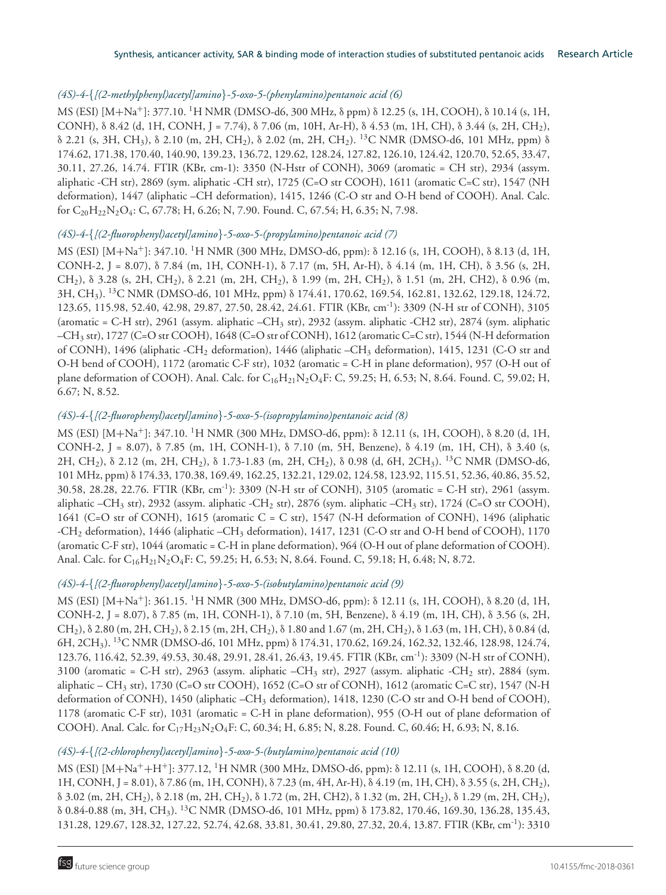## *(4S)-4-*{*[(2-methylphenyl)acetyl]amino*}*-5-oxo-5-(phenylamino)pentanoic acid (6)*

MS (ESI) [M+Na+]: 377.10. <sup>1</sup>H NMR (DMSO-d6, 300 MHz, δ ppm) δ 12.25 (s, 1H, COOH), δ 10.14 (s, 1H, CONH), δ 8.42 (d, 1H, CONH, J = 7.74), δ 7.06 (m, 10H, Ar-H), δ 4.53 (m, 1H, CH), δ 3.44 (s, 2H, CH2), δ 2.21 (s, 3H, CH3), δ 2.10 (m, 2H, CH2), δ 2.02 (m, 2H, CH2). <sup>13</sup>C NMR (DMSO-d6, 101 MHz, ppm) δ 174.62, 171.38, 170.40, 140.90, 139.23, 136.72, 129.62, 128.24, 127.82, 126.10, 124.42, 120.70, 52.65, 33.47, 30.11, 27.26, 14.74. FTIR (KBr, cm-1): 3350 (N-Hstr of CONH), 3069 (aromatic = CH str), 2934 (assym. aliphatic -CH str), 2869 (sym. aliphatic -CH str), 1725 (C=O str COOH), 1611 (aromatic C=C str), 1547 (NH deformation), 1447 (aliphatic –CH deformation), 1415, 1246 (C-O str and O-H bend of COOH). Anal. Calc. for  $C_{20}H_{22}N_2O_4$ : C, 67.78; H, 6.26; N, 7.90. Found. C, 67.54; H, 6.35; N, 7.98.

# *(4S)-4-*{*[(2-fluorophenyl)acetyl]amino*}*-5-oxo-5-(propylamino)pentanoic acid (7)*

MS (ESI) [M+Na+]: 347.10. <sup>1</sup>H NMR (300 MHz, DMSO-d6, ppm): δ 12.16 (s, 1H, COOH), δ 8.13 (d, 1H, CONH-2, J = 8.07), δ 7.84 (m, 1H, CONH-1), δ 7.17 (m, 5H, Ar-H), δ 4.14 (m, 1H, CH), δ 3.56 (s, 2H, CH2), δ 3.28 (s, 2H, CH2), δ 2.21 (m, 2H, CH2), δ 1.99 (m, 2H, CH2), δ 1.51 (m, 2H, CH2), δ 0.96 (m, 3H, CH3). <sup>13</sup>C NMR (DMSO-d6, 101 MHz, ppm) δ 174.41, 170.62, 169.54, 162.81, 132.62, 129.18, 124.72, 123.65, 115.98, 52.40, 42.98, 29.87, 27.50, 28.42, 24.61. FTIR (KBr, cm-1): 3309 (N-H str of CONH), 3105 (aromatic = C-H str), 2961 (assym. aliphatic –CH<sup>3</sup> str), 2932 (assym. aliphatic -CH2 str), 2874 (sym. aliphatic –CH<sup>3</sup> str), 1727 (C=O str COOH), 1648 (C=O str of CONH), 1612 (aromatic C=C str), 1544 (N-H deformation of CONH), 1496 (aliphatic -CH<sup>2</sup> deformation), 1446 (aliphatic –CH<sup>3</sup> deformation), 1415, 1231 (C-O str and O-H bend of COOH), 1172 (aromatic C-F str), 1032 (aromatic = C-H in plane deformation), 957 (O-H out of plane deformation of COOH). Anal. Calc. for  $C_{16}H_{21}N_2O_4F$ : C, 59.25; H, 6.53; N, 8.64. Found. C, 59.02; H, 6.67; N, 8.52.

## *(4S)-4-*{*[(2-fluorophenyl)acetyl]amino*}*-5-oxo-5-(isopropylamino)pentanoic acid (8)*

MS (ESI) [M+Na+]: 347.10. <sup>1</sup>H NMR (300 MHz, DMSO-d6, ppm): δ 12.11 (s, 1H, COOH), δ 8.20 (d, 1H, CONH-2, J = 8.07), δ 7.85 (m, 1H, CONH-1), δ 7.10 (m, 5H, Benzene), δ 4.19 (m, 1H, CH), δ 3.40 (s, 2H, CH2), δ 2.12 (m, 2H, CH2), δ 1.73-1.83 (m, 2H, CH2), δ 0.98 (d, 6H, 2CH3). <sup>13</sup>C NMR (DMSO-d6, 101 MHz, ppm) δ 174.33, 170.38, 169.49, 162.25, 132.21, 129.02, 124.58, 123.92, 115.51, 52.36, 40.86, 35.52, 30.58, 28.28, 22.76. FTIR (KBr, cm-1): 3309 (N-H str of CONH), 3105 (aromatic = C-H str), 2961 (assym. aliphatic –CH<sub>3</sub> str), 2932 (assym. aliphatic -CH<sub>2</sub> str), 2876 (sym. aliphatic –CH<sub>3</sub> str), 1724 (C=O str COOH), 1641 (C=O str of CONH), 1615 (aromatic C = C str), 1547 (N-H deformation of CONH), 1496 (aliphatic -CH<sup>2</sup> deformation), 1446 (aliphatic –CH<sup>3</sup> deformation), 1417, 1231 (C-O str and O-H bend of COOH), 1170 (aromatic C-F str),  $1044$  (aromatic = C-H in plane deformation),  $964$  (O-H out of plane deformation of COOH). Anal. Calc. for C<sub>16</sub>H<sub>21</sub>N<sub>2</sub>O<sub>4</sub>F: C, 59.25; H, 6.53; N, 8.64. Found. C, 59.18; H, 6.48; N, 8.72.

## *(4S)-4-*{*[(2-fluorophenyl)acetyl]amino*}*-5-oxo-5-(isobutylamino)pentanoic acid (9)*

MS (ESI) [M+Na+]: 361.15. <sup>1</sup>H NMR (300 MHz, DMSO-d6, ppm): δ 12.11 (s, 1H, COOH), δ 8.20 (d, 1H, CONH-2, J = 8.07), δ 7.85 (m, 1H, CONH-1), δ 7.10 (m, 5H, Benzene), δ 4.19 (m, 1H, CH), δ 3.56 (s, 2H, CH2), δ 2.80 (m, 2H, CH2), δ 2.15 (m, 2H, CH2), δ 1.80 and 1.67 (m, 2H, CH2), δ 1.63 (m, 1H, CH), δ 0.84 (d, 6H, 2CH3). <sup>13</sup>C NMR (DMSO-d6, 101 MHz, ppm) δ 174.31, 170.62, 169.24, 162.32, 132.46, 128.98, 124.74, 123.76, 116.42, 52.39, 49.53, 30.48, 29.91, 28.41, 26.43, 19.45. FTIR (KBr, cm-1): 3309 (N-H str of CONH), 3100 (aromatic = C-H str), 2963 (assym. aliphatic -CH<sub>3</sub> str), 2927 (assym. aliphatic -CH<sub>2</sub> str), 2884 (sym. aliphatic – CH<sup>3</sup> str), 1730 (C=O str COOH), 1652 (C=O str of CONH), 1612 (aromatic C=C str), 1547 (N-H deformation of CONH), 1450 (aliphatic –CH<sub>3</sub> deformation), 1418, 1230 (C-O str and O-H bend of COOH), 1178 (aromatic C-F str), 1031 (aromatic = C-H in plane deformation), 955 (O-H out of plane deformation of COOH). Anal. Calc. for  $C_{17}H_{23}N_2O_4F$ : C, 60.34; H, 6.85; N, 8.28. Found. C, 60.46; H, 6.93; N, 8.16.

## *(4S)-4-*{*[(2-chlorophenyl)acetyl]amino*}*-5-oxo-5-(butylamino)pentanoic acid (10)*

MS (ESI) [M+Na<sup>+</sup>+H<sup>+</sup>]: 377.12, <sup>1</sup>H NMR (300 MHz, DMSO-d6, ppm): δ 12.11 (s, 1H, COOH), δ 8.20 (d, 1H, CONH, J = 8.01), δ 7.86 (m, 1H, CONH), δ 7.23 (m, 4H, Ar-H), δ 4.19 (m, 1H, CH), δ 3.55 (s, 2H, CH2), δ 3.02 (m, 2H, CH2), δ 2.18 (m, 2H, CH2), δ 1.72 (m, 2H, CH2), δ 1.32 (m, 2H, CH2), δ 1.29 (m, 2H, CH2), δ 0.84-0.88 (m, 3H, CH3). <sup>13</sup>C NMR (DMSO-d6, 101 MHz, ppm) δ 173.82, 170.46, 169.30, 136.28, 135.43, 131.28, 129.67, 128.32, 127.22, 52.74, 42.68, 33.81, 30.41, 29.80, 27.32, 20.4, 13.87. FTIR (KBr, cm-1): 3310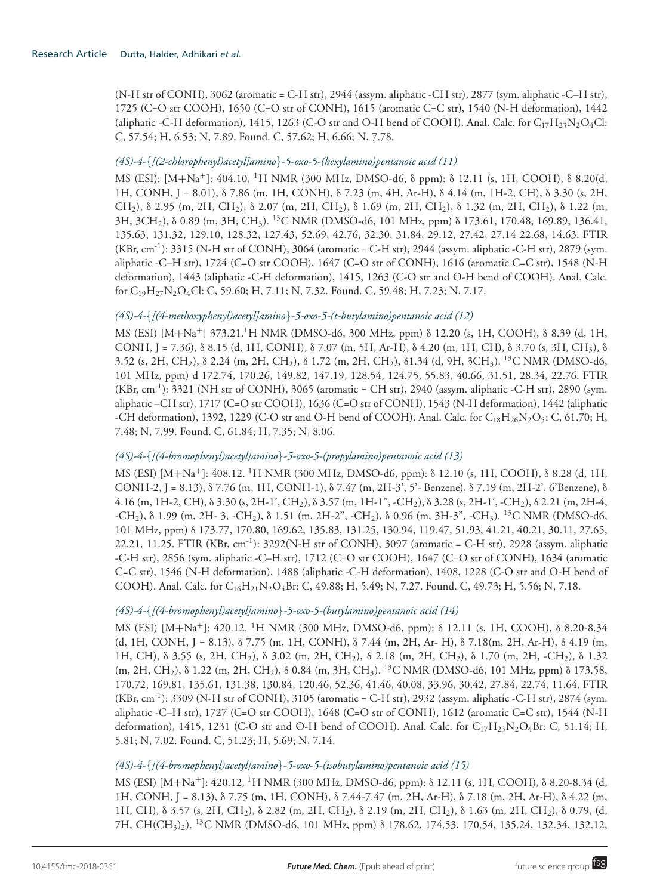(N-H str of CONH), 3062 (aromatic = C-H str), 2944 (assym. aliphatic -CH str), 2877 (sym. aliphatic -C–H str), 1725 (C=O str COOH), 1650 (C=O str of CONH), 1615 (aromatic C=C str), 1540 (N-H deformation), 1442 (aliphatic -C-H deformation), 1415, 1263 (C-O str and O-H bend of COOH). Anal. Calc. for  $C_{17}H_{23}N_2O_4Cl$ : C, 57.54; H, 6.53; N, 7.89. Found. C, 57.62; H, 6.66; N, 7.78.

## *(4S)-4-*{*[(2-chlorophenyl)acetyl]amino*}*-5-oxo-5-(hexylamino)pentanoic acid (11)*

MS (ESI): [M+Na+]: 404.10, <sup>1</sup>H NMR (300 MHz, DMSO-d6, δ ppm): δ 12.11 (s, 1H, COOH), δ 8.20(d, 1H, CONH, J = 8.01), δ 7.86 (m, 1H, CONH), δ 7.23 (m, 4H, Ar-H), δ 4.14 (m, 1H-2, CH), δ 3.30 (s, 2H, CH2), δ 2.95 (m, 2H, CH2), δ 2.07 (m, 2H, CH2), δ 1.69 (m, 2H, CH2), δ 1.32 (m, 2H, CH2), δ 1.22 (m, 3H, 3CH2), δ 0.89 (m, 3H, CH3). <sup>13</sup>C NMR (DMSO-d6, 101 MHz, ppm) δ 173.61, 170.48, 169.89, 136.41, 135.63, 131.32, 129.10, 128.32, 127.43, 52.69, 42.76, 32.30, 31.84, 29.12, 27.42, 27.14 22.68, 14.63. FTIR  $(KBr, cm^{-1})$ : 3315 (N-H str of CONH), 3064 (aromatic = C-H str), 2944 (assym. aliphatic -C-H str), 2879 (sym. aliphatic -C–H str), 1724 (C=O str COOH), 1647 (C=O str of CONH), 1616 (aromatic C=C str), 1548 (N-H deformation), 1443 (aliphatic -C-H deformation), 1415, 1263 (C-O str and O-H bend of COOH). Anal. Calc. for C<sub>19</sub>H<sub>27</sub>N<sub>2</sub>O<sub>4</sub>Cl: C, 59.60; H, 7.11; N, 7.32. Found. C, 59.48; H, 7.23; N, 7.17.

# *(4S)-4-*{*[(4-methoxyphenyl)acetyl]amino*}*-5-oxo-5-(t-butylamino)pentanoic acid (12)*

MS (ESI) [M+Na+] 373.21.1H NMR (DMSO-d6, 300 MHz, ppm) δ 12.20 (s, 1H, COOH), δ 8.39 (d, 1H, CONH, J = 7.36), δ 8.15 (d, 1H, CONH), δ 7.07 (m, 5H, Ar-H), δ 4.20 (m, 1H, CH), δ 3.70 (s, 3H, CH3), δ 3.52 (s, 2H, CH2), δ 2.24 (m, 2H, CH2), δ 1.72 (m, 2H, CH2), δ1.34 (d, 9H, 3CH3). <sup>13</sup>C NMR (DMSO-d6, 101 MHz, ppm) d 172.74, 170.26, 149.82, 147.19, 128.54, 124.75, 55.83, 40.66, 31.51, 28.34, 22.76. FTIR  $(KBr, cm^{-1})$ : 3321 (NH str of CONH), 3065 (aromatic = CH str), 2940 (assym. aliphatic -C-H str), 2890 (sym. aliphatic –CH str), 1717 (C=O str COOH), 1636 (C=O str of CONH), 1543 (N-H deformation), 1442 (aliphatic -CH deformation), 1392, 1229 (C-O str and O-H bend of COOH). Anal. Calc. for  $C_{18}H_{26}N_2O_5$ : C, 61.70; H, 7.48; N, 7.99. Found. C, 61.84; H, 7.35; N, 8.06.

# *(4S)-4-*{*[(4-bromophenyl)acetyl]amino*}*-5-oxo-5-(propylamino)pentanoic acid (13)*

MS (ESI) [M+Na+]: 408.12. <sup>1</sup>H NMR (300 MHz, DMSO-d6, ppm): δ 12.10 (s, 1H, COOH), δ 8.28 (d, 1H, CONH-2, J = 8.13), δ 7.76 (m, 1H, CONH-1), δ 7.47 (m, 2H-3', 5'- Benzene), δ 7.19 (m, 2H-2', 6'Benzene), δ 4.16 (m, 1H-2, CH), δ 3.30 (s, 2H-1', CH2), δ 3.57 (m, 1H-1", -CH2), δ 3.28 (s, 2H-1', -CH2), δ 2.21 (m, 2H-4,  $-CH_2$ ),  $\delta$  1.99 (m, 2H- 3,  $-CH_2$ ),  $\delta$  1.51 (m, 2H-2",  $-CH_2$ ),  $\delta$  0.96 (m, 3H-3",  $-CH_3$ ). <sup>13</sup>C NMR (DMSO-d6, 101 MHz, ppm) δ 173.77, 170.80, 169.62, 135.83, 131.25, 130.94, 119.47, 51.93, 41.21, 40.21, 30.11, 27.65, 22.21, 11.25. FTIR (KBr, cm-1): 3292(N-H str of CONH), 3097 (aromatic = C-H str), 2928 (assym. aliphatic -C-H str), 2856 (sym. aliphatic -C–H str), 1712 (C=O str COOH), 1647 (C=O str of CONH), 1634 (aromatic C=C str), 1546 (N-H deformation), 1488 (aliphatic -C-H deformation), 1408, 1228 (C-O str and O-H bend of COOH). Anal. Calc. for  $C_{16}H_{21}N_2O_4Br$ : C, 49.88; H, 5.49; N, 7.27. Found. C, 49.73; H, 5.56; N, 7.18.

## *(4S)-4-*{*[(4-bromophenyl)acetyl]amino*}*-5-oxo-5-(butylamino)pentanoic acid (14)*

MS (ESI) [M+Na<sup>+</sup>]: 420.12. <sup>1</sup>H NMR (300 MHz, DMSO-d6, ppm): δ 12.11 (s, 1H, COOH), δ 8.20-8.34 (d, 1H, CONH, J = 8.13), δ 7.75 (m, 1H, CONH), δ 7.44 (m, 2H, Ar- H), δ 7.18(m, 2H, Ar-H), δ 4.19 (m, 1H, CH), δ 3.55 (s, 2H, CH2), δ 3.02 (m, 2H, CH2), δ 2.18 (m, 2H, CH2), δ 1.70 (m, 2H, -CH2), δ 1.32  $(m, 2H, CH_2)$ , δ 1.22  $(m, 2H, CH_2)$ , δ 0.84  $(m, 3H, CH_3)$ . <sup>13</sup>C NMR (DMSO-d6, 101 MHz, ppm) δ 173.58, 170.72, 169.81, 135.61, 131.38, 130.84, 120.46, 52.36, 41.46, 40.08, 33.96, 30.42, 27.84, 22.74, 11.64. FTIR  $(KBr, cm^{-1})$ : 3309 (N-H str of CONH), 3105 (aromatic = C-H str), 2932 (assym. aliphatic -C-H str), 2874 (sym. aliphatic -C–H str), 1727 (C=O str COOH), 1648 (C=O str of CONH), 1612 (aromatic C=C str), 1544 (N-H deformation), 1415, 1231 (C-O str and O-H bend of COOH). Anal. Calc. for  $C_{17}H_{23}N_2O_4Br$ : C, 51.14; H, 5.81; N, 7.02. Found. C, 51.23; H, 5.69; N, 7.14.

## *(4S)-4-*{*[(4-bromophenyl)acetyl]amino*}*-5-oxo-5-(isobutylamino)pentanoic acid (15)*

MS (ESI) [M+Na<sup>+</sup>]: 420.12, <sup>1</sup>H NMR (300 MHz, DMSO-d6, ppm): δ 12.11 (s, 1H, COOH), δ 8.20-8.34 (d, 1H, CONH, J = 8.13), δ 7.75 (m, 1H, CONH), δ 7.44-7.47 (m, 2H, Ar-H), δ 7.18 (m, 2H, Ar-H), δ 4.22 (m, 1H, CH), δ 3.57 (s, 2H, CH2), δ 2.82 (m, 2H, CH2), δ 2.19 (m, 2H, CH2), δ 1.63 (m, 2H, CH2), δ 0.79, (d, 7H, CH(CH<sub>3</sub>)<sub>2</sub>). <sup>13</sup>C NMR (DMSO-d6, 101 MHz, ppm) δ 178.62, 174.53, 170.54, 135.24, 132.34, 132.12,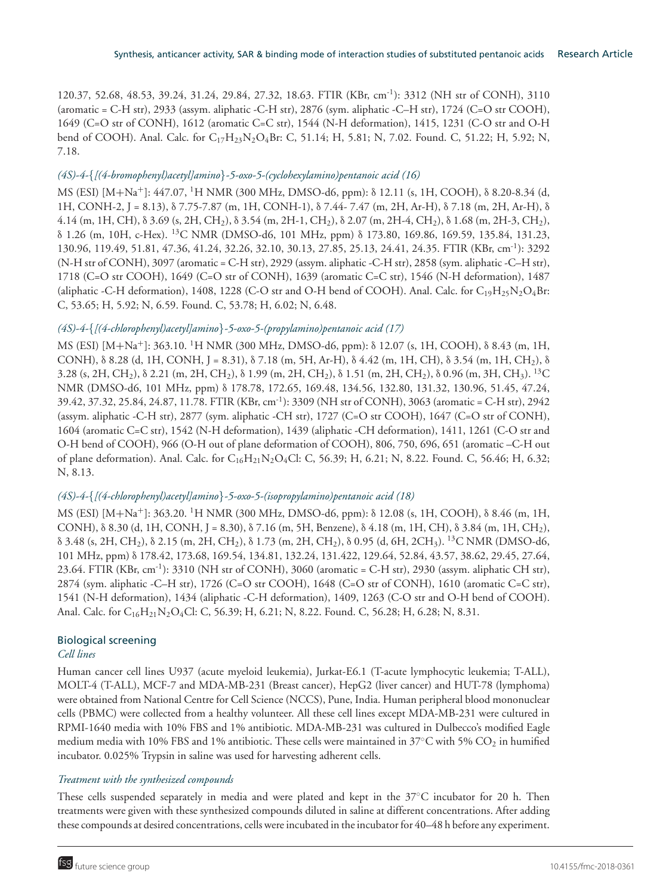120.37, 52.68, 48.53, 39.24, 31.24, 29.84, 27.32, 18.63. FTIR (KBr, cm-1): 3312 (NH str of CONH), 3110 (aromatic = C-H str), 2933 (assym. aliphatic -C-H str), 2876 (sym. aliphatic -C–H str), 1724 (C=O str COOH), 1649 (C=O str of CONH), 1612 (aromatic C=C str), 1544 (N-H deformation), 1415, 1231 (C-O str and O-H bend of COOH). Anal. Calc. for  $C_{17}H_{23}N_2O_4Br$ : C, 51.14; H, 5.81; N, 7.02. Found. C, 51.22; H, 5.92; N, 7.18.

# *(4S)-4-*{*[(4-bromophenyl)acetyl]amino*}*-5-oxo-5-(cyclohexylamino)pentanoic acid (16)*

MS (ESI) [M+Na+]: 447.07, <sup>1</sup>H NMR (300 MHz, DMSO-d6, ppm): δ 12.11 (s, 1H, COOH), δ 8.20-8.34 (d, 1H, CONH-2, J = 8.13), δ 7.75-7.87 (m, 1H, CONH-1), δ 7.44- 7.47 (m, 2H, Ar-H), δ 7.18 (m, 2H, Ar-H), δ 4.14 (m, 1H, CH), δ 3.69 (s, 2H, CH2), δ 3.54 (m, 2H-1, CH2), δ 2.07 (m, 2H-4, CH2), δ 1.68 (m, 2H-3, CH2), δ 1.26 (m, 10H, c-Hex). <sup>13</sup>C NMR (DMSO-d6, 101 MHz, ppm) δ 173.80, 169.86, 169.59, 135.84, 131.23, 130.96, 119.49, 51.81, 47.36, 41.24, 32.26, 32.10, 30.13, 27.85, 25.13, 24.41, 24.35. FTIR (KBr, cm-1): 3292 (N-H str of CONH), 3097 (aromatic = C-H str), 2929 (assym. aliphatic -C-H str), 2858 (sym. aliphatic -C–H str), 1718 (C=O str COOH), 1649 (C=O str of CONH), 1639 (aromatic C=C str), 1546 (N-H deformation), 1487 (aliphatic -C-H deformation), 1408, 1228 (C-O str and O-H bend of COOH). Anal. Calc. for  $C_{19}H_{25}N_2O_4Br$ : C, 53.65; H, 5.92; N, 6.59. Found. C, 53.78; H, 6.02; N, 6.48.

# *(4S)-4-*{*[(4-chlorophenyl)acetyl]amino*}*-5-oxo-5-(propylamino)pentanoic acid (17)*

MS (ESI) [M+Na+]: 363.10. <sup>1</sup>H NMR (300 MHz, DMSO-d6, ppm): δ 12.07 (s, 1H, COOH), δ 8.43 (m, 1H, CONH), δ 8.28 (d, 1H, CONH, J = 8.31), δ 7.18 (m, 5H, Ar-H), δ 4.42 (m, 1H, CH), δ 3.54 (m, 1H, CH2), δ 3.28 (s, 2H, CH<sub>2</sub>),  $\delta$  2.21 (m, 2H, CH<sub>2</sub>),  $\delta$  1.99 (m, 2H, CH<sub>2</sub>),  $\delta$  1.51 (m, 2H, CH<sub>2</sub>),  $\delta$  0.96 (m, 3H, CH<sub>3</sub>). <sup>13</sup>C NMR (DMSO-d6, 101 MHz, ppm) δ 178.78, 172.65, 169.48, 134.56, 132.80, 131.32, 130.96, 51.45, 47.24, 39.42, 37.32, 25.84, 24.87, 11.78. FTIR (KBr, cm-1): 3309 (NH str of CONH), 3063 (aromatic = C-H str), 2942 (assym. aliphatic -C-H str), 2877 (sym. aliphatic -CH str), 1727 (C=O str COOH), 1647 (C=O str of CONH), 1604 (aromatic C=C str), 1542 (N-H deformation), 1439 (aliphatic -CH deformation), 1411, 1261 (C-O str and O-H bend of COOH), 966 (O-H out of plane deformation of COOH), 806, 750, 696, 651 (aromatic –C-H out of plane deformation). Anal. Calc. for  $C_{16}H_{21}N_2O_4Cl$ : C, 56.39; H, 6.21; N, 8.22. Found. C, 56.46; H, 6.32; N, 8.13.

## *(4S)-4-*{*[(4-chlorophenyl)acetyl]amino*}*-5-oxo-5-(isopropylamino)pentanoic acid (18)*

MS (ESI) [M+Na+]: 363.20. <sup>1</sup>H NMR (300 MHz, DMSO-d6, ppm): δ 12.08 (s, 1H, COOH), δ 8.46 (m, 1H, CONH), δ 8.30 (d, 1H, CONH, J = 8.30), δ 7.16 (m, 5H, Benzene), δ 4.18 (m, 1H, CH), δ 3.84 (m, 1H, CH2), δ 3.48 (s, 2H, CH2), δ 2.15 (m, 2H, CH2), δ 1.73 (m, 2H, CH2), δ 0.95 (d, 6H, 2CH3). <sup>13</sup>C NMR (DMSO-d6, 101 MHz, ppm) δ 178.42, 173.68, 169.54, 134.81, 132.24, 131.422, 129.64, 52.84, 43.57, 38.62, 29.45, 27.64, 23.64. FTIR (KBr, cm<sup>-1</sup>): 3310 (NH str of CONH), 3060 (aromatic = C-H str), 2930 (assym. aliphatic CH str), 2874 (sym. aliphatic -C–H str), 1726 (C=O str COOH), 1648 (C=O str of CONH), 1610 (aromatic C=C str), 1541 (N-H deformation), 1434 (aliphatic -C-H deformation), 1409, 1263 (C-O str and O-H bend of COOH). Anal. Calc. for C<sub>16</sub>H<sub>21</sub>N<sub>2</sub>O<sub>4</sub>Cl: C, 56.39; H, 6.21; N, 8.22. Found. C, 56.28; H, 6.28; N, 8.31.

# Biological screening

## *Cell lines*

Human cancer cell lines U937 (acute myeloid leukemia), Jurkat-E6.1 (T-acute lymphocytic leukemia; T-ALL), MOLT-4 (T-ALL), MCF-7 and MDA-MB-231 (Breast cancer), HepG2 (liver cancer) and HUT-78 (lymphoma) were obtained from National Centre for Cell Science (NCCS), Pune, India. Human peripheral blood mononuclear cells (PBMC) were collected from a healthy volunteer. All these cell lines except MDA-MB-231 were cultured in RPMI-1640 media with 10% FBS and 1% antibiotic. MDA-MB-231 was cultured in Dulbecco's modified Eagle medium media with 10% FBS and 1% antibiotic. These cells were maintained in 37°C with 5% CO<sub>2</sub> in humified incubator. 0.025% Trypsin in saline was used for harvesting adherent cells.

# *Treatment with the synthesized compounds*

These cells suspended separately in media and were plated and kept in the 37◦C incubator for 20 h. Then treatments were given with these synthesized compounds diluted in saline at different concentrations. After adding these compounds at desired concentrations, cells were incubated in the incubator for 40–48 h before any experiment.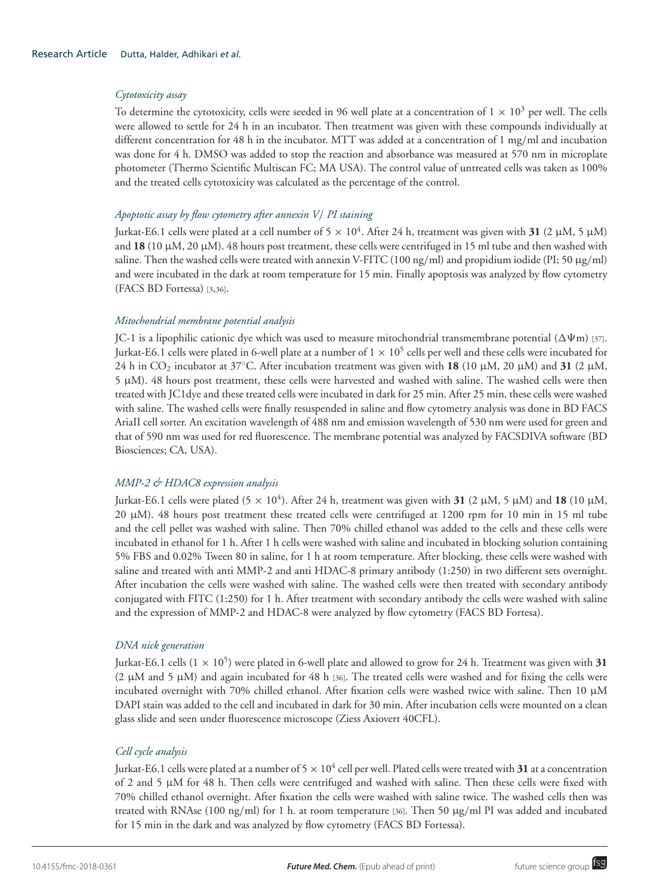#### *Cytotoxicity assay*

To determine the cytotoxicity, cells were seeded in 96 well plate at a concentration of  $1 \times 10^3$  per well. The cells were allowed to settle for 24 h in an incubator. Then treatment was given with these compounds individually at different concentration for 48 h in the incubator. MTT was added at a concentration of 1 mg/ml and incubation was done for 4 h. DMSO was added to stop the reaction and absorbance was measured at 570 nm in microplate photometer (Thermo Scientific Multiscan FC; MA USA). The control value of untreated cells was taken as 100% and the treated cells cytotoxicity was calculated as the percentage of the control.

#### *Apoptotic assay by flow cytometry after annexin V*/ *PI staining*

Jurkat-E6.1 cells were plated at a cell number of 5  $\times$  10<sup>4</sup>. After 24 h, treatment was given with **31** (2  $\mu$ M, 5  $\mu$ M) and **18** (10  $\mu$ M, 20  $\mu$ M). 48 hours post treatment, these cells were centrifuged in 15 ml tube and then washed with saline. Then the washed cells were treated with annexin V-FITC (100 ng/ml) and propidium iodide (PI; 50  $\mu$ g/ml) and were incubated in the dark at room temperature for 15 min. Finally apoptosis was analyzed by flow cytometry (FACS BD Fortessa) [3,36].

#### *Mitochondrial membrane potential analysis*

JC-1 is a lipophilic cationic dye which was used to measure mitochondrial transmembrane potential ( $\Delta\Psi$ m) [37]. Jurkat-E6.1 cells were plated in 6-well plate at a number of  $1\times10^5$  cells per well and these cells were incubated for 24 h in CO<sub>2</sub> incubator at 37°C. After incubation treatment was given with **18** (10 μM, 20 μM) and **31** (2 μM, 5 µM). 48 hours post treatment, these cells were harvested and washed with saline. The washed cells were then treated with JC1dye and these treated cells were incubated in dark for 25 min. After 25 min, these cells were washed with saline. The washed cells were finally resuspended in saline and flow cytometry analysis was done in BD FACS AriaII cell sorter. An excitation wavelength of 488 nm and emission wavelength of 530 nm were used for green and that of 590 nm was used for red fluorescence. The membrane potential was analyzed by FACSDIVA software (BD Biosciences; CA, USA).

## *MMP-2 & HDAC8 expression analysis*

Jurkat-E6.1 cells were plated (5  $\times$  10<sup>4</sup>). After 24 h, treatment was given with **31** (2 µM, 5 µM) and **18** (10 µM, 20 µM). 48 hours post treatment these treated cells were centrifuged at 1200 rpm for 10 min in 15 ml tube and the cell pellet was washed with saline. Then 70% chilled ethanol was added to the cells and these cells were incubated in ethanol for 1 h. After 1 h cells were washed with saline and incubated in blocking solution containing 5% FBS and 0.02% Tween 80 in saline, for 1 h at room temperature. After blocking, these cells were washed with saline and treated with anti MMP-2 and anti HDAC-8 primary antibody (1:250) in two different sets overnight. After incubation the cells were washed with saline. The washed cells were then treated with secondary antibody conjugated with FITC (1:250) for 1 h. After treatment with secondary antibody the cells were washed with saline and the expression of MMP-2 and HDAC-8 were analyzed by flow cytometry (FACS BD Fortesa).

#### *DNA nick generation*

Jurkat-E6.1 cells  $(1 \times 10^5)$  were plated in 6-well plate and allowed to grow for 24 h. Treatment was given with 31 (2  $\mu$ M and 5  $\mu$ M) and again incubated for 48 h [36]. The treated cells were washed and for fixing the cells were incubated overnight with 70% chilled ethanol. After fixation cells were washed twice with saline. Then 10 µM DAPI stain was added to the cell and incubated in dark for 30 min. After incubation cells were mounted on a clean glass slide and seen under fluorescence microscope (Ziess Axiovert 40CFL).

## *Cell cycle analysis*

Jurkat-E6.1 cells were plated at a number of 5  $\times$  10<sup>4</sup> cell per well. Plated cells were treated with **31** at a concentration of 2 and 5 µM for 48 h. Then cells were centrifuged and washed with saline. Then these cells were fixed with 70% chilled ethanol overnight. After fixation the cells were washed with saline twice. The washed cells then was treated with RNAse (100 ng/ml) for 1 h. at room temperature [36]. Then 50 µg/ml PI was added and incubated for 15 min in the dark and was analyzed by flow cytometry (FACS BD Fortessa).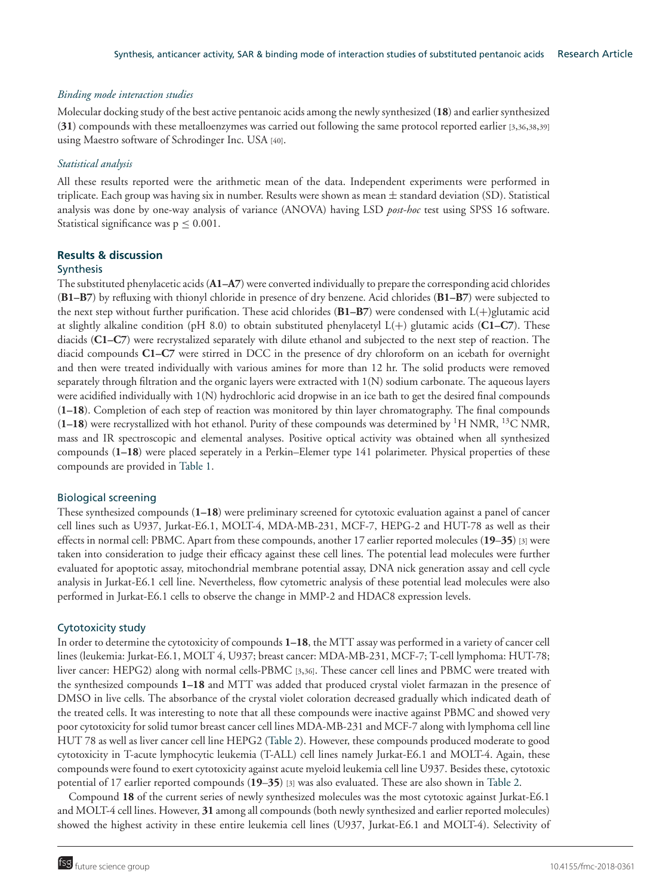#### *Binding mode interaction studies*

Molecular docking study of the best active pentanoic acids among the newly synthesized (**18**) and earlier synthesized (**31**) compounds with these metalloenzymes was carried out following the same protocol reported earlier [3,36,38,39] using Maestro software of Schrodinger Inc. USA [40].

#### *Statistical analysis*

All these results reported were the arithmetic mean of the data. Independent experiments were performed in triplicate. Each group was having six in number. Results were shown as mean  $\pm$  standard deviation (SD). Statistical analysis was done by one-way analysis of variance (ANOVA) having LSD *post-hoc* test using SPSS 16 software. Statistical significance was  $p \leq 0.001$ .

#### **Results & discussion**

#### **Synthesis**

The substituted phenylacetic acids (**A1–A7**) were converted individually to prepare the corresponding acid chlorides (**B1–B7**) by refluxing with thionyl chloride in presence of dry benzene. Acid chlorides (**B1–B7**) were subjected to the next step without further purification. These acid chlorides (**B1–B7**) were condensed with L(+)glutamic acid at slightly alkaline condition (pH 8.0) to obtain substituted phenylacetyl L(+) glutamic acids (**C1–C7**). These diacids (**C1–C7**) were recrystalized separately with dilute ethanol and subjected to the next step of reaction. The diacid compounds **C1–C7** were stirred in DCC in the presence of dry chloroform on an icebath for overnight and then were treated individually with various amines for more than 12 hr. The solid products were removed separately through filtration and the organic layers were extracted with 1(N) sodium carbonate. The aqueous layers were acidified individually with 1(N) hydrochloric acid dropwise in an ice bath to get the desired final compounds (**1–18**). Completion of each step of reaction was monitored by thin layer chromatography. The final compounds (**1–18**) were recrystallized with hot ethanol. Purity of these compounds was determined by <sup>1</sup>H NMR, <sup>13</sup>C NMR, mass and IR spectroscopic and elemental analyses. Positive optical activity was obtained when all synthesized compounds (**1–18**) were placed seperately in a Perkin–Elemer type 141 polarimeter. Physical properties of these compounds are provided in Table 1.

#### Biological screening

These synthesized compounds (**1–18**) were preliminary screened for cytotoxic evaluation against a panel of cancer cell lines such as U937, Jurkat-E6.1, MOLT-4, MDA-MB-231, MCF-7, HEPG-2 and HUT-78 as well as their effects in normal cell: PBMC. Apart from these compounds, another 17 earlier reported molecules (**19**–**35**) [3] were taken into consideration to judge their efficacy against these cell lines. The potential lead molecules were further evaluated for apoptotic assay, mitochondrial membrane potential assay, DNA nick generation assay and cell cycle analysis in Jurkat-E6.1 cell line. Nevertheless, flow cytometric analysis of these potential lead molecules were also performed in Jurkat-E6.1 cells to observe the change in MMP-2 and HDAC8 expression levels.

#### Cytotoxicity study

In order to determine the cytotoxicity of compounds **1–18**, the MTT assay was performed in a variety of cancer cell lines (leukemia: Jurkat-E6.1, MOLT 4, U937; breast cancer: MDA-MB-231, MCF-7; T-cell lymphoma: HUT-78; liver cancer: HEPG2) along with normal cells-PBMC [3,36]. These cancer cell lines and PBMC were treated with the synthesized compounds **1–18** and MTT was added that produced crystal violet farmazan in the presence of DMSO in live cells. The absorbance of the crystal violet coloration decreased gradually which indicated death of the treated cells. It was interesting to note that all these compounds were inactive against PBMC and showed very poor cytotoxicity for solid tumor breast cancer cell lines MDA-MB-231 and MCF-7 along with lymphoma cell line HUT 78 as well as liver cancer cell line HEPG2 (Table 2). However, these compounds produced moderate to good cytotoxicity in T-acute lymphocytic leukemia (T-ALL) cell lines namely Jurkat-E6.1 and MOLT-4. Again, these compounds were found to exert cytotoxicity against acute myeloid leukemia cell line U937. Besides these, cytotoxic potential of 17 earlier reported compounds (**19**–**35**) [3] was also evaluated. These are also shown in Table 2.

Compound **18** of the current series of newly synthesized molecules was the most cytotoxic against Jurkat-E6.1 and MOLT-4 cell lines. However, **31** among all compounds (both newly synthesized and earlier reported molecules) showed the highest activity in these entire leukemia cell lines (U937, Jurkat-E6.1 and MOLT-4). Selectivity of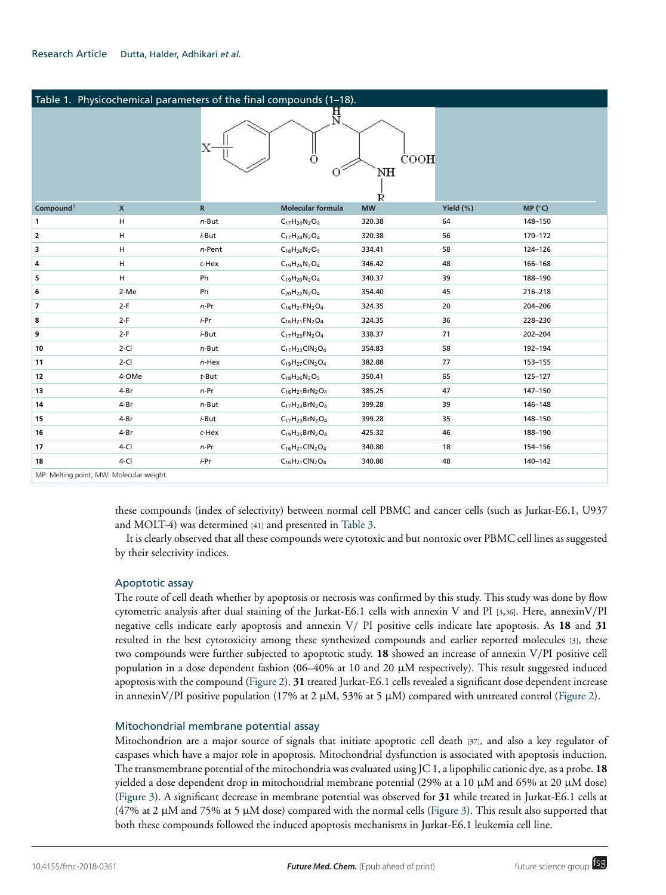| Table 1. Physicochemical parameters of the final compounds (1-18). |                    |                 |                           |                 |           |         |
|--------------------------------------------------------------------|--------------------|-----------------|---------------------------|-----------------|-----------|---------|
|                                                                    |                    |                 | H<br>N<br>О               | COOH<br>NH<br>Ŕ |           |         |
| Compound <sup>†</sup>                                              | $\pmb{\mathsf{X}}$ | $\, {\bf R} \,$ | <b>Molecular formula</b>  | <b>MW</b>       | Yield (%) | MP (°C) |
| 1                                                                  | н                  | $n$ -But        | $C_{17}H_{24}N_2O_4$      | 320.38          | 64        | 148-150 |
| $\overline{2}$                                                     | н                  | $i$ -But        | $C_{17}H_{24}N_2O_4$      | 320.38          | 56        | 170-172 |
| 3                                                                  | н                  | $n$ -Pent       | $C_{18}H_{26}N_2O_4$      | 334.41          | 58        | 124-126 |
| 4                                                                  | н                  | c-Hex           | $C_{19}H_{26}N_2O_4$      | 346.42          | 48        | 166-168 |
| 5                                                                  | н                  | Ph              | $C_{19}H_{20}N_2O_4$      | 340.37          | 39        | 188-190 |
| 6                                                                  | 2-Me               | Ph              | $C_{20}H_{22}N_2O_4$      | 354.40          | 45        | 216-218 |
| $\overline{7}$                                                     | $2-F$              | $n-Pr$          | $C_{16}H_{21}FN_{2}O_{4}$ | 324.35          | 20        | 204-206 |
| 8                                                                  | $2-F$              | <i>i</i> -Pr    | $C_{16}H_{21}FN_{2}O_{4}$ | 324.35          | 36        | 228-230 |
| 9                                                                  | $2-F$              | i-But           | $C_{17}H_{23}FN_{2}O_{4}$ | 338.37          | 71        | 202-204 |
| 10                                                                 | $2-CI$             | $n$ -But        | $C_{17}H_{23}CIN_2O_4$    | 354.83          | 58        | 192-194 |
| 11                                                                 | $2-CI$             | $n$ -Hex        | $C_{19}H_{27}CIN_2O_4$    | 382.88          | 77        | 153-155 |
| 12                                                                 | 4-OMe              | $t$ -But        | $C_{18}H_{26}N_2O_5$      | 350.41          | 65        | 125-127 |
| 13                                                                 | 4-Br               | $n-Pr$          | $C_{16}H_{21}BrN_2O_4$    | 385.25          | 47        | 147-150 |
| 14                                                                 | 4-Br               | $n$ -But        | $C_{17}H_{23}BrN_2O_4$    | 399.28          | 39        | 146-148 |
| 15                                                                 | 4-Br               | $i$ -But        | $C_{17}H_{23}BrN_2O_4$    | 399.28          | 35        | 148-150 |
| 16                                                                 | 4-Br               | c-Hex           | $C_{19}H_{25}BrN_2O_4$    | 425.32          | 46        | 188-190 |
| 17                                                                 | $4-CI$             | $n-Pr$          | $C_{16}H_{21}CIN_2O_4$    | 340.80          | 18        | 154-156 |
| 18                                                                 | $4-CI$             | i-Pr            | $C_{16}H_{21}CIN_2O_4$    | 340.80          | 48        | 140-142 |
| MP: Melting point; MW: Molecular weight.                           |                    |                 |                           |                 |           |         |

these compounds (index of selectivity) between normal cell PBMC and cancer cells (such as Jurkat-E6.1, U937 and MOLT-4) was determined [41] and presented in Table 3.

It is clearly observed that all these compounds were cytotoxic and but nontoxic over PBMC cell lines as suggested by their selectivity indices.

#### Apoptotic assay

The route of cell death whether by apoptosis or necrosis was confirmed by this study. This study was done by flow cytometric analysis after dual staining of the Jurkat-E6.1 cells with annexin V and PI [3,36]. Here, annexinV/PI negative cells indicate early apoptosis and annexin V/ PI positive cells indicate late apoptosis. As **18** and **31** resulted in the best cytotoxicity among these synthesized compounds and earlier reported molecules [3], these two compounds were further subjected to apoptotic study. **18** showed an increase of annexin V/PI positive cell population in a dose dependent fashion  $(06-40\%$  at 10 and 20  $\mu$ M respectively). This result suggested induced apoptosis with the compound (Figure 2). **31** treated Jurkat-E6.1 cells revealed a significant dose dependent increase in annexinV/PI positive population (17% at 2  $\mu$ M, 53% at 5  $\mu$ M) compared with untreated control (Figure 2).

#### Mitochondrial membrane potential assay

Mitochondrion are a major source of signals that initiate apoptotic cell death [37], and also a key regulator of caspases which have a major role in apoptosis. Mitochondrial dysfunction is associated with apoptosis induction. The transmembrane potential of the mitochondria was evaluated using JC 1, a lipophilic cationic dye, as a probe. **18** yielded a dose dependent drop in mitochondrial membrane potential (29% at a 10 µM and 65% at 20 µM dose) (Figure 3). A significant decrease in membrane potential was observed for **31** while treated in Jurkat-E6.1 cells at (47% at 2  $\mu$ M and 75% at 5  $\mu$ M dose) compared with the normal cells (Figure 3). This result also supported that both these compounds followed the induced apoptosis mechanisms in Jurkat-E6.1 leukemia cell line.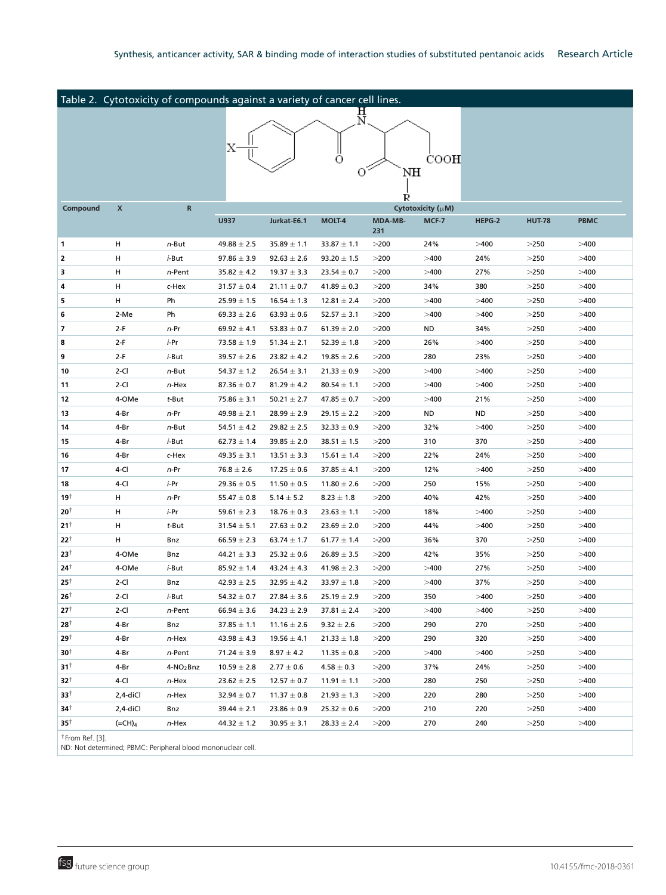| Table 2. Cytotoxicity of compounds against a variety of cancer cell lines. |                    |                       |                 |                 |                 |         |                   |           |               |             |
|----------------------------------------------------------------------------|--------------------|-----------------------|-----------------|-----------------|-----------------|---------|-------------------|-----------|---------------|-------------|
| 说<br>기                                                                     |                    |                       |                 |                 |                 |         |                   |           |               |             |
|                                                                            |                    |                       |                 |                 |                 |         |                   |           |               |             |
|                                                                            |                    |                       |                 |                 |                 |         |                   |           |               |             |
|                                                                            |                    |                       |                 |                 | O               |         | COOH              |           |               |             |
|                                                                            |                    |                       |                 |                 | O               | NH      |                   |           |               |             |
|                                                                            |                    |                       |                 |                 |                 |         |                   |           |               |             |
|                                                                            |                    |                       |                 |                 |                 | R       |                   |           |               |             |
| Compound                                                                   | X                  | R                     |                 |                 |                 | MDA-MB- | Cytotoxicity (µM) |           |               |             |
|                                                                            |                    |                       | U937            | Jurkat-E6.1     | <b>MOLT-4</b>   | 231     | MCF-7             | HEPG-2    | <b>HUT-78</b> | <b>PBMC</b> |
| 1                                                                          | н                  | $n$ -But              | $49.88 \pm 2.5$ | $35.89 \pm 1.1$ | $33.87 \pm 1.1$ | >200    | 24%               | >400      | >250          | >400        |
| 2                                                                          | н                  | <i>i</i> -But         | $97.86 \pm 3.9$ | $92.63 \pm 2.6$ | $93.20 \pm 1.5$ | >200    | >400              | 24%       | >250          | >400        |
| 3                                                                          | н                  | n-Pent                | $35.82 \pm 4.2$ | $19.37 \pm 3.3$ | $23.54 \pm 0.7$ | >200    | >400              | 27%       | >250          | >400        |
| 4                                                                          | н                  | c-Hex                 | $31.57 \pm 0.4$ | $21.11 \pm 0.7$ | $41.89 \pm 0.3$ | >200    | 34%               | 380       | >250          | >400        |
| 5                                                                          | н                  | Ph                    | $25.99 \pm 1.5$ | $16.54 \pm 1.3$ | $12.81 \pm 2.4$ | >200    | >400              | >400      | >250          | >400        |
| 6                                                                          | 2-Me               | Ph                    | $69.33 \pm 2.6$ | $63.93 \pm 0.6$ | $52.57 \pm 3.1$ | >200    | >400              | >400      | >250          | >400        |
| 7                                                                          | $2-F$              | $n-Pr$                | $69.92 \pm 4.1$ | $53.83 \pm 0.7$ | $61.39 \pm 2.0$ | >200    | ND                | 34%       | >250          | >400        |
| 8                                                                          | $2-F$              | i-Pr                  | $73.58 \pm 1.9$ | $51.34 \pm 2.1$ | $52.39 \pm 1.8$ | >200    | 26%               | >400      | >250          | >400        |
| 9                                                                          | $2-F$              | <i>i</i> -But         | $39.57 \pm 2.6$ | $23.82 \pm 4.2$ | $19.85 \pm 2.6$ | >200    | 280               | 23%       | >250          | >400        |
| 10                                                                         | $2-CI$             | $n$ -But              | $54.37 \pm 1.2$ | $26.54 \pm 3.1$ | $21.33 \pm 0.9$ | >200    | >400              | >400      | >250          | >400        |
| 11                                                                         | $2-CI$             | n-Hex                 | $87.36 \pm 0.7$ | $81.29 \pm 4.2$ | $80.54 \pm 1.1$ | >200    | >400              | >400      | >250          | >400        |
| 12                                                                         | 4-OMe              | t-But                 | $75.86 \pm 3.1$ | $50.21 \pm 2.7$ | $47.85 \pm 0.7$ | >200    | >400              | 21%       | >250          | >400        |
| 13                                                                         | 4-Br               | $n-Pr$                | $49.98 \pm 2.1$ | $28.99 \pm 2.9$ | $29.15 \pm 2.2$ | >200    | ND                | <b>ND</b> | >250          | >400        |
| 14                                                                         | 4-Br               | n-But                 | 54.51 $\pm$ 4.2 | $29.82 \pm 2.5$ | $32.33 \pm 0.9$ | >200    | 32%               | >400      | >250          | >400        |
| 15                                                                         | 4-Br               | <i>i</i> -But         | $62.73 \pm 1.4$ | $39.85 \pm 2.0$ | $38.51 \pm 1.5$ | >200    | 310               | 370       | >250          | >400        |
| 16                                                                         | 4-Br               | c-Hex                 | $49.35 \pm 3.1$ | $13.51 \pm 3.3$ | $15.61 \pm 1.4$ | >200    | 22%               | 24%       | >250          | >400        |
| 17                                                                         | 4-Cl               | $n-Pr$                | $76.8 \pm 2.6$  | $17.25 \pm 0.6$ | $37.85 \pm 4.1$ | >200    | 12%               | >400      | >250          | >400        |
| 18                                                                         | 4-Cl               | <i>i</i> -Pr          | $29.36 \pm 0.5$ | $11.50 \pm 0.5$ | $11.80 \pm 2.6$ | >200    | 250               | 15%       | >250          | >400        |
| 19†                                                                        | н                  | $n-Pr$                | $55.47 \pm 0.8$ | $5.14 \pm 5.2$  | $8.23 \pm 1.8$  | >200    | 40%               | 42%       | $>\!\!250$    | >400        |
| $20^{\dagger}$                                                             | н                  | i-Pr                  | $59.61 \pm 2.3$ | $18.76 \pm 0.3$ | $23.63 \pm 1.1$ | >200    | 18%               | >400      | $>\!\!250$    | >400        |
| $21^{\dagger}$                                                             | н                  | $t$ -But              | $31.54 \pm 5.1$ | $27.63 \pm 0.2$ | $23.69 \pm 2.0$ | >200    | 44%               | >400      | >250          | >400        |
| $22^{\dagger}$                                                             | н                  | Bnz                   | $66.59 \pm 2.3$ | $63.74 \pm 1.7$ | $61.77 \pm 1.4$ | >200    | 36%               | 370       | $>\!\!250$    | >400        |
| 23†                                                                        | 4-OMe              | Bnz                   | $44.21 \pm 3.3$ | $25.32 \pm 0.6$ | $26.89 \pm 3.5$ | >200    | 42%               | 35%       | >250          | >400        |
| 24†                                                                        | 4-OMe              | <i>i</i> -But         | $85.92 \pm 1.4$ | $43.24 \pm 4.3$ | $41.98 \pm 2.3$ | >200    | >400              | 27%       | >250          | >400        |
| $25^{\dagger}$                                                             | $2-CI$             | Bnz                   | $42.93 \pm 2.5$ | $32.95 \pm 4.2$ | $33.97 \pm 1.8$ | >200    | >400              | 37%       | >250          | >400        |
| $26^{\dagger}$                                                             | 2-Cl               | i-But                 | $54.32 \pm 0.7$ | $27.84 \pm 3.6$ | $25.19 \pm 2.9$ | >200    | 350               | >400      | $>\!\!250$    | >400        |
| $27^{\dagger}$                                                             | 2-Cl               | n-Pent                | $66.94 \pm 3.6$ | $34.23 \pm 2.9$ | $37.81 \pm 2.4$ | >200    | >400              | >400      | >250          | >400        |
| 28†                                                                        | 4-Br               | Bnz                   | $37.85 \pm 1.1$ | $11.16 \pm 2.6$ | $9.32 \pm 2.6$  | >200    | 290               | 270       | >250          | >400        |
| † 29                                                                       | 4-Br               | n-Hex                 | $43.98 \pm 4.3$ | $19.56 \pm 4.1$ | $21.33 \pm 1.8$ | >200    | 290               | 320       | >250          | >400        |
| 30†                                                                        | 4-Br               | n-Pent                | $71.24 \pm 3.9$ | $8.97 \pm 4.2$  | $11.35 \pm 0.8$ | >200    | >400              | >400      | >250          | >400        |
| $31^{\dagger}$                                                             | 4-Br               | 4-NO <sub>2</sub> Bnz | $10.59 \pm 2.8$ | $2.77 \pm 0.6$  | $4.58 \pm 0.3$  | >200    | 37%               | 24%       | >250          | >400        |
| 32†                                                                        | 4-Cl               | n-Hex                 | $23.62 \pm 2.5$ | $12.57 \pm 0.7$ | $11.91 \pm 1.1$ | >200    | 280               | 250       | $>250$        | >400        |
| 33†                                                                        | 2,4-diCl           | n-Hex                 | $32.94 \pm 0.7$ | $11.37 \pm 0.8$ | $21.93 \pm 1.3$ | >200    | 220               | 280       | >250          | >400        |
| 34†                                                                        | 2,4-diCl           | Bnz                   | $39.44 \pm 2.1$ | $23.86 \pm 0.9$ | $25.32 \pm 0.6$ | >200    | 210               | 220       | $>250$        | >400        |
| 35†                                                                        | $(=\mathsf{CH})_4$ | n-Hex                 | $44.32 \pm 1.2$ | $30.95 \pm 3.1$ | $28.33 \pm 2.4$ | >200    | 270               | 240       | >250          | >400        |
| <sup>†</sup> From Ref. [3].                                                |                    |                       |                 |                 |                 |         |                   |           |               |             |

ND: Not determined; PBMC: Peripheral blood mononuclear cell.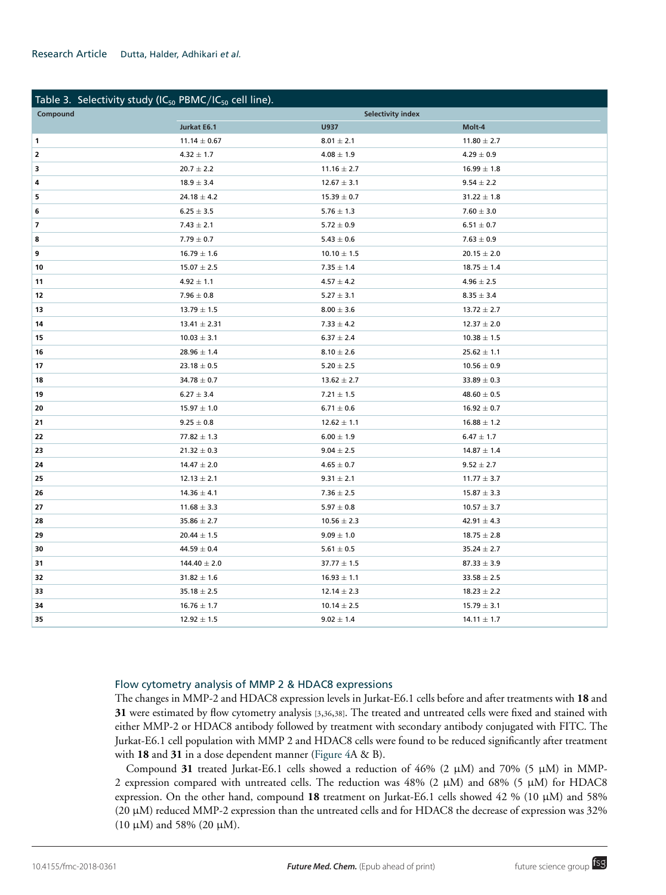#### Research Article Dutta, Halder, Adhikari *et al.*

| Table 3. Selectivity study (IC <sub>50</sub> PBMC/IC <sub>50</sub> cell line). |                          |                 |                 |  |  |
|--------------------------------------------------------------------------------|--------------------------|-----------------|-----------------|--|--|
| Compound                                                                       | <b>Selectivity index</b> |                 |                 |  |  |
|                                                                                | Jurkat E6.1              | U937            | Molt-4          |  |  |
| $\mathbf{1}$                                                                   | $11.14 \pm 0.67$         | $8.01 \pm 2.1$  | $11.80 \pm 2.7$ |  |  |
| $\overline{2}$                                                                 | $4.32 \pm 1.7$           | $4.08 \pm 1.9$  | $4.29\pm0.9$    |  |  |
| 3                                                                              | $20.7 \pm 2.2$           | $11.16 \pm 2.7$ | $16.99 \pm 1.8$ |  |  |
| 4                                                                              | $18.9 \pm 3.4$           | $12.67 \pm 3.1$ | $9.54 \pm 2.2$  |  |  |
| 5                                                                              | $24.18 \pm 4.2$          | $15.39 \pm 0.7$ | $31.22 \pm 1.8$ |  |  |
| 6                                                                              | $6.25 \pm 3.5$           | $5.76 \pm 1.3$  | $7.60 \pm 3.0$  |  |  |
| $\overline{\phantom{a}}$                                                       | $7.43 \pm 2.1$           | $5.72 \pm 0.9$  | $6.51 \pm 0.7$  |  |  |
| 8                                                                              | $7.79 \pm 0.7$           | $5.43 \pm 0.6$  | $7.63 \pm 0.9$  |  |  |
| 9                                                                              | $16.79 \pm 1.6$          | $10.10 \pm 1.5$ | $20.15 \pm 2.0$ |  |  |
| 10                                                                             | $15.07 \pm 2.5$          | $7.35 \pm 1.4$  | $18.75 \pm 1.4$ |  |  |
| 11                                                                             | $4.92 \pm 1.1$           | $4.57 \pm 4.2$  | $4.96 \pm 2.5$  |  |  |
| 12                                                                             | $7.96 \pm 0.8$           | $5.27 \pm 3.1$  | $8.35 \pm 3.4$  |  |  |
| 13                                                                             | $13.79 \pm 1.5$          | $8.00 \pm 3.6$  | $13.72 \pm 2.7$ |  |  |
| 14                                                                             | $13.41 \pm 2.31$         | $7.33 \pm 4.2$  | $12.37 \pm 2.0$ |  |  |
| 15                                                                             | $10.03 \pm 3.1$          | $6.37 \pm 2.4$  | $10.38 \pm 1.5$ |  |  |
| 16                                                                             | $28.96 \pm 1.4$          | $8.10 \pm 2.6$  | $25.62 \pm 1.1$ |  |  |
| 17                                                                             | $23.18 \pm 0.5$          | $5.20 \pm 2.5$  | $10.56 \pm 0.9$ |  |  |
| 18                                                                             | $34.78 \pm 0.7$          | $13.62 \pm 2.7$ | $33.89 \pm 0.3$ |  |  |
| 19                                                                             | $6.27 \pm 3.4$           | $7.21 \pm 1.5$  | $48.60 \pm 0.5$ |  |  |
| 20                                                                             | $15.97 \pm 1.0$          | $6.71 \pm 0.6$  | $16.92 \pm 0.7$ |  |  |
| 21                                                                             | $9.25 \pm 0.8$           | $12.62 \pm 1.1$ | $16.88 \pm 1.2$ |  |  |
| 22                                                                             | $77.82 \pm 1.3$          | $6.00 \pm 1.9$  | $6.47 \pm 1.7$  |  |  |
| 23                                                                             | $21.32 \pm 0.3$          | $9.04 \pm 2.5$  | $14.87 \pm 1.4$ |  |  |
| 24                                                                             | $14.47 \pm 2.0$          | $4.65 \pm 0.7$  | $9.52 \pm 2.7$  |  |  |
| 25                                                                             | $12.13 \pm 2.1$          | $9.31 \pm 2.1$  | $11.77 \pm 3.7$ |  |  |
| 26                                                                             | $14.36 \pm 4.1$          | $7.36 \pm 2.5$  | $15.87 \pm 3.3$ |  |  |
| 27                                                                             | $11.68 \pm 3.3$          | $5.97 \pm 0.8$  | $10.57 \pm 3.7$ |  |  |
| 28                                                                             | $35.86 \pm 2.7$          | $10.56 \pm 2.3$ | $42.91 \pm 4.3$ |  |  |
| 29                                                                             | $20.44 \pm 1.5$          | $9.09 \pm 1.0$  | $18.75 \pm 2.8$ |  |  |
| 30                                                                             | $44.59 \pm 0.4$          | $5.61 \pm 0.5$  | $35.24 \pm 2.7$ |  |  |
| 31                                                                             | $144.40 \pm 2.0$         | $37.77 \pm 1.5$ | $87.33 \pm 3.9$ |  |  |
| 32                                                                             | $31.82 \pm 1.6$          | $16.93 \pm 1.1$ | $33.58 \pm 2.5$ |  |  |
| 33                                                                             | $35.18 \pm 2.5$          | $12.14 \pm 2.3$ | $18.23 \pm 2.2$ |  |  |
| 34                                                                             | $16.76 \pm 1.7$          | $10.14 \pm 2.5$ | $15.79 \pm 3.1$ |  |  |
| 35                                                                             | $12.92 \pm 1.5$          | $9.02 \pm 1.4$  | $14.11 \pm 1.7$ |  |  |

#### Flow cytometry analysis of MMP 2 & HDAC8 expressions

The changes in MMP-2 and HDAC8 expression levels in Jurkat-E6.1 cells before and after treatments with **18** and were estimated by flow cytometry analysis [3,36,38]. The treated and untreated cells were fixed and stained with either MMP-2 or HDAC8 antibody followed by treatment with secondary antibody conjugated with FITC. The Jurkat-E6.1 cell population with MMP 2 and HDAC8 cells were found to be reduced significantly after treatment with **18** and **31** in a dose dependent manner (Figure 4A & B).

Compound 31 treated Jurkat-E6.1 cells showed a reduction of  $46\%$  (2  $\mu$ M) and 70% (5  $\mu$ M) in MMP-2 expression compared with untreated cells. The reduction was  $48\%$  (2  $\mu$ M) and 68% (5  $\mu$ M) for HDAC8 expression. On the other hand, compound **18** treatment on Jurkat-E6.1 cells showed 42 % (10 µM) and 58% (20 µM) reduced MMP-2 expression than the untreated cells and for HDAC8 the decrease of expression was 32% (10 µM) and 58% (20 µM).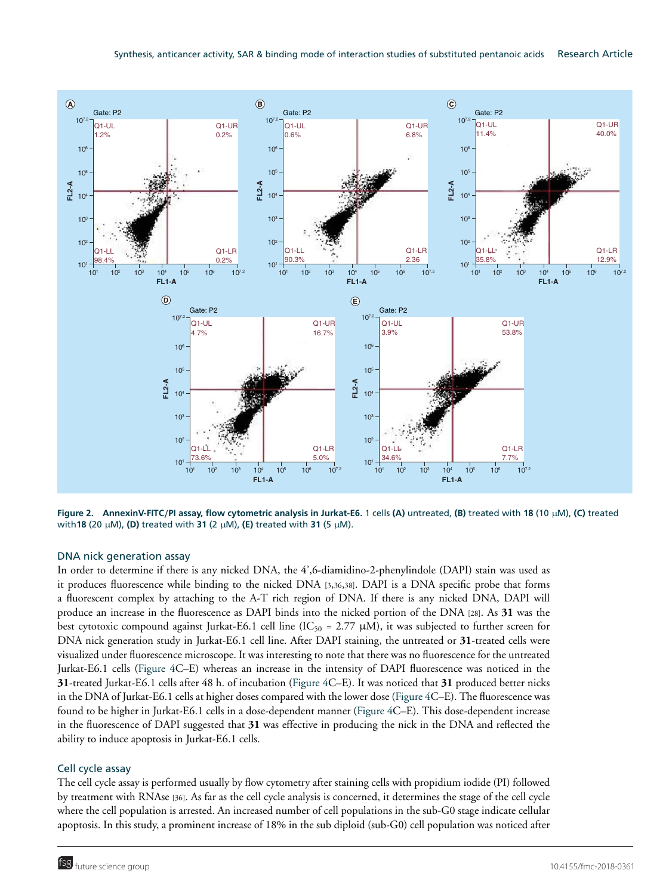

**Figure 2. AnnexinV-FITC**/**PI assay, flow cytometric analysis in Jurkat-E6.** 1 cells **(A)** untreated, **(B)** treated with **18** (10 µM), **(C)** treated with**18** (20 µM), **(D)** treated with **31** (2 µM), **(E)** treated with **31** (5 µM).

#### DNA nick generation assay

In order to determine if there is any nicked DNA, the 4',6-diamidino-2-phenylindole (DAPI) stain was used as it produces fluorescence while binding to the nicked DNA [3,36,38]. DAPI is a DNA specific probe that forms a fluorescent complex by attaching to the A-T rich region of DNA. If there is any nicked DNA, DAPI will produce an increase in the fluorescence as DAPI binds into the nicked portion of the DNA [28]. As **31** was the best cytotoxic compound against Jurkat-E6.1 cell line (IC<sub>50</sub> = 2.77  $\mu$ M), it was subjected to further screen for DNA nick generation study in Jurkat-E6.1 cell line. After DAPI staining, the untreated or **31**-treated cells were visualized under fluorescence microscope. It was interesting to note that there was no fluorescence for the untreated Jurkat-E6.1 cells (Figure 4C–E) whereas an increase in the intensity of DAPI fluorescence was noticed in the **31**-treated Jurkat-E6.1 cells after 48 h. of incubation (Figure 4C–E). It was noticed that **31** produced better nicks in the DNA of Jurkat-E6.1 cells at higher doses compared with the lower dose (Figure 4C–E). The fluorescence was found to be higher in Jurkat-E6.1 cells in a dose-dependent manner (Figure 4C–E). This dose-dependent increase in the fluorescence of DAPI suggested that **31** was effective in producing the nick in the DNA and reflected the ability to induce apoptosis in Jurkat-E6.1 cells.

#### Cell cycle assay

The cell cycle assay is performed usually by flow cytometry after staining cells with propidium iodide (PI) followed by treatment with RNAse [36]. As far as the cell cycle analysis is concerned, it determines the stage of the cell cycle where the cell population is arrested. An increased number of cell populations in the sub-G0 stage indicate cellular apoptosis. In this study, a prominent increase of 18% in the sub diploid (sub-G0) cell population was noticed after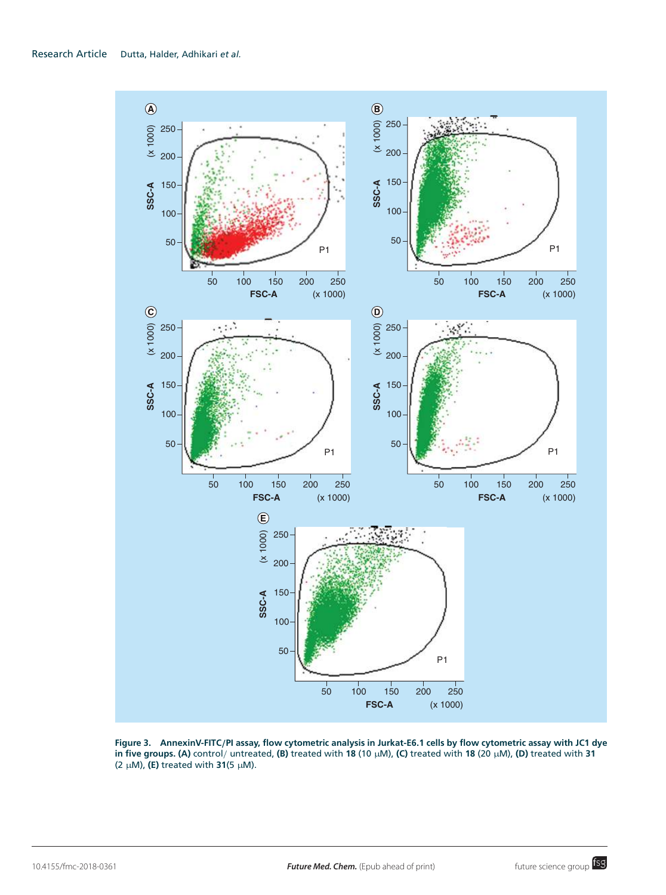

**Figure 3. AnnexinV-FITC**/**PI assay, flow cytometric analysis in Jurkat-E6.1 cells by flow cytometric assay with JC1 dye in five groups. (A)** control/ untreated, **(B)** treated with **18** (10 µM), **(C)** treated with **18** (20 µM), **(D)** treated with **31** (2 µM), **(E)** treated with **31**(5 µM).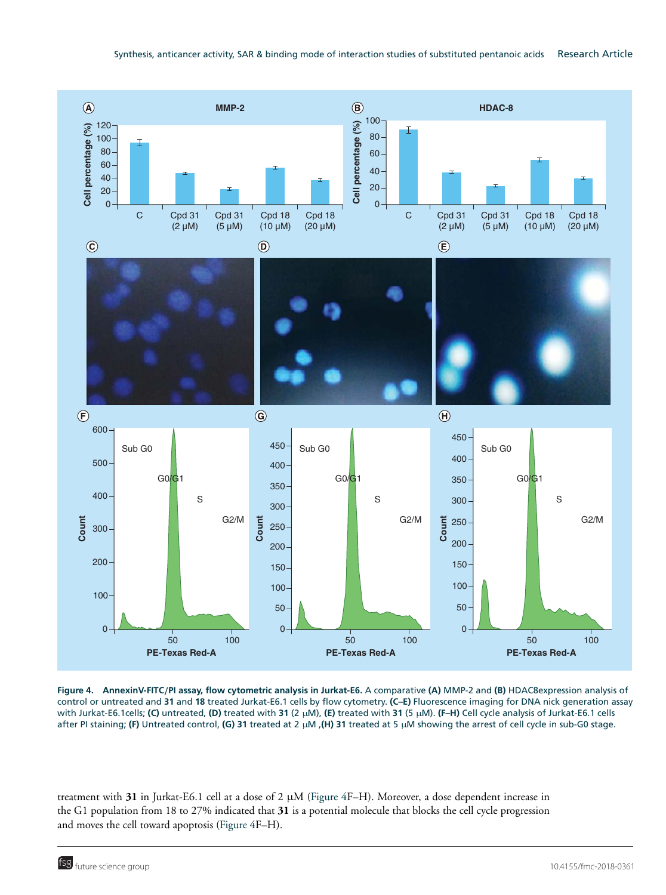

**Figure 4. AnnexinV-FITC**/**PI assay, flow cytometric analysis in Jurkat-E6.** A comparative **(A)** MMP-2 and **(B)** HDAC8expression analysis of control or untreated and **31** and **18** treated Jurkat-E6.1 cells by flow cytometry. **(C–E)** Fluorescence imaging for DNA nick generation assay with Jurkat-E6.1cells; **(C)** untreated, **(D)** treated with **31** (2 µM), **(E)** treated with **31** (5 µM). **(F–H)** Cell cycle analysis of Jurkat-E6.1 cells after PI staining; **(F)** Untreated control, **(G) 31** treated at 2 µM ,**(H) 31** treated at 5 µM showing the arrest of cell cycle in sub-G0 stage.

treatment with **31** in Jurkat-E6.1 cell at a dose of 2 µM (Figure 4F–H). Moreover, a dose dependent increase in the G1 population from 18 to 27% indicated that **31** is a potential molecule that blocks the cell cycle progression and moves the cell toward apoptosis (Figure 4F–H).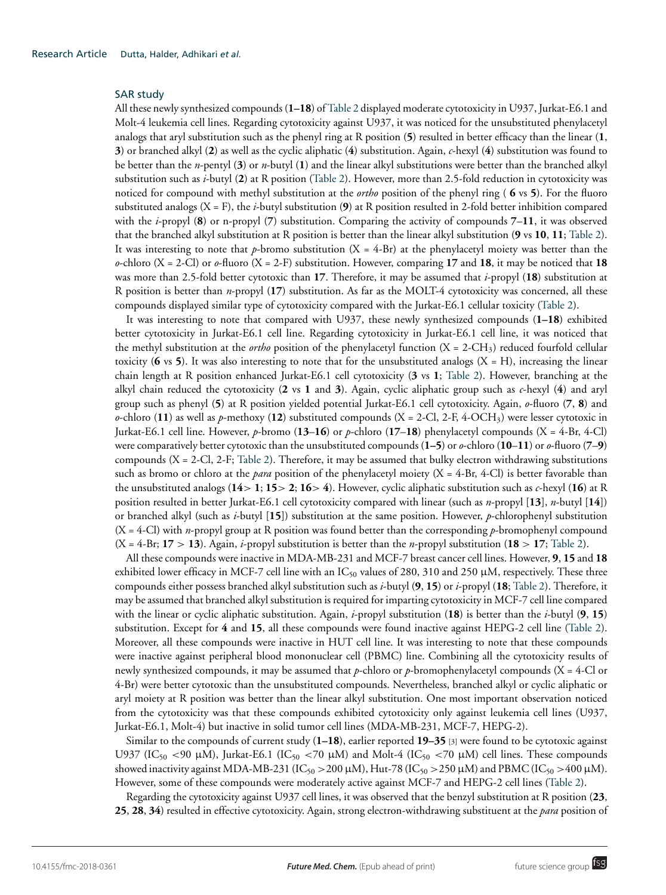#### SAR study

All these newly synthesized compounds (**1–18**) of Table 2 displayed moderate cytotoxicity in U937, Jurkat-E6.1 and Molt-4 leukemia cell lines. Regarding cytotoxicity against U937, it was noticed for the unsubstituted phenylacetyl analogs that aryl substitution such as the phenyl ring at R position (**5**) resulted in better efficacy than the linear (**1**, **3**) or branched alkyl (**2**) as well as the cyclic aliphatic (**4**) substitution. Again, *c*-hexyl (**4**) substitution was found to be better than the *n*-pentyl (**3**) or *n*-butyl (**1**) and the linear alkyl substitutions were better than the branched alkyl substitution such as *i*-butyl (**2**) at R position (Table 2). However, more than 2.5-fold reduction in cytotoxicity was noticed for compound with methyl substitution at the *ortho* position of the phenyl ring ( **6** vs **5**). For the fluoro substituted analogs (X = F), the *i*-butyl substitution (**9**) at R position resulted in 2-fold better inhibition compared with the *i*-propyl (**8**) or n-propyl (**7**) substitution. Comparing the activity of compounds **7**–**11**, it was observed that the branched alkyl substitution at R position is better than the linear alkyl substitution (**9** vs **10**, **11**; Table 2). It was interesting to note that *p*-bromo substitution  $(X = 4-Br)$  at the phenylacetyl moiety was better than the *o*-chloro (X = 2-Cl) or *o*-fluoro (X = 2-F) substitution. However, comparing **17** and **18**, it may be noticed that **18** was more than 2.5-fold better cytotoxic than **17**. Therefore, it may be assumed that *i*-propyl (**18**) substitution at R position is better than *n*-propyl (**17**) substitution. As far as the MOLT-4 cytotoxicity was concerned, all these compounds displayed similar type of cytotoxicity compared with the Jurkat-E6.1 cellular toxicity (Table 2).

It was interesting to note that compared with U937, these newly synthesized compounds (**1–18**) exhibited better cytotoxicity in Jurkat-E6.1 cell line. Regarding cytotoxicity in Jurkat-E6.1 cell line, it was noticed that the methyl substitution at the *ortho* position of the phenylacetyl function (X = 2-CH3) reduced fourfold cellular toxicity ( $\bf{6}$  vs  $\bf{5}$ ). It was also interesting to note that for the unsubstituted analogs ( $\bf{X} = \bf{H}$ ), increasing the linear chain length at R position enhanced Jurkat-E6.1 cell cytotoxicity (**3** vs **1**; Table 2). However, branching at the alkyl chain reduced the cytotoxicity (**2** vs **1** and **3**). Again, cyclic aliphatic group such as *c*-hexyl (**4**) and aryl group such as phenyl (**5**) at R position yielded potential Jurkat-E6.1 cell cytotoxicity. Again, *o*-fluoro (**7**, **8**) and  $\alpha$ -chloro (**11**) as well as  $p$ -methoxy (**12**) substituted compounds (X = 2-Cl, 2-F, 4-OCH<sub>3</sub>) were lesser cytotoxic in Jurkat-E6.1 cell line. However, *p*-bromo (**13**–**16**) or *p*-chloro (**17**–**18**) phenylacetyl compounds (X = 4-Br, 4-Cl) were comparatively better cytotoxic than the unsubstituted compounds (**1–5**) or *o*-chloro (**10**–**11**) or *o*-fluoro (**7**–**9**) compounds (X = 2-Cl, 2-F; Table 2). Therefore, it may be assumed that bulky electron withdrawing substitutions such as bromo or chloro at the *para* position of the phenylacetyl moiety (X = 4-Br, 4-Cl) is better favorable than the unsubstituted analogs (**14**> **1**; **15**> **2**; **16**> **4**). However, cyclic aliphatic substitution such as *c*-hexyl (**16**) at R position resulted in better Jurkat-E6.1 cell cytotoxicity compared with linear (such as *n*-propyl [**13**], *n*-butyl [**14**]) or branched alkyl (such as *i*-butyl [**15**]) substitution at the same position. However, *p*-chlorophenyl substitution (X = 4-Cl) with *n*-propyl group at R position was found better than the corresponding *p*-bromophenyl compound  $(X = 4-Br; 17 > 13)$ . Again, *i*-propyl substitution is better than the *n*-propyl substitution (18 > 17; Table 2).

All these compounds were inactive in MDA-MB-231 and MCF-7 breast cancer cell lines. However, **9**, **15** and **18** exhibited lower efficacy in MCF-7 cell line with an IC<sub>50</sub> values of 280, 310 and 250  $\mu$ M, respectively. These three compounds either possess branched alkyl substitution such as *i*-butyl (**9**, **15**) or *i*-propyl (**18**; Table 2). Therefore, it may be assumed that branched alkyl substitution is required for imparting cytotoxicity in MCF-7 cell line compared with the linear or cyclic aliphatic substitution. Again, *i*-propyl substitution (**18**) is better than the *i*-butyl (**9**, **15**) substitution. Except for **4** and **15**, all these compounds were found inactive against HEPG-2 cell line (Table 2). Moreover, all these compounds were inactive in HUT cell line. It was interesting to note that these compounds were inactive against peripheral blood mononuclear cell (PBMC) line. Combining all the cytotoxicity results of newly synthesized compounds, it may be assumed that *p*-chloro or *p*-bromophenylacetyl compounds (X = 4-Cl or 4-Br) were better cytotoxic than the unsubstituted compounds. Nevertheless, branched alkyl or cyclic aliphatic or aryl moiety at R position was better than the linear alkyl substitution. One most important observation noticed from the cytotoxicity was that these compounds exhibited cytotoxicity only against leukemia cell lines (U937, Jurkat-E6.1, Molt-4) but inactive in solid tumor cell lines (MDA-MB-231, MCF-7, HEPG-2).

Similar to the compounds of current study (**1–18**), earlier reported **19–35** [3] were found to be cytotoxic against U937 (IC<sub>50</sub> <90 µM), Jurkat-E6.1 (IC<sub>50</sub> <70 µM) and Molt-4 (IC<sub>50</sub> <70 µM) cell lines. These compounds showed inactivity against MDA-MB-231 (IC<sub>50</sub> > 200 µM), Hut-78 (IC<sub>50</sub> > 250 µM) and PBMC (IC<sub>50</sub> > 400 µM). However, some of these compounds were moderately active against MCF-7 and HEPG-2 cell lines (Table 2).

Regarding the cytotoxicity against U937 cell lines, it was observed that the benzyl substitution at R position (**23**, **25**, **28**, **34**) resulted in effective cytotoxicity. Again, strong electron-withdrawing substituent at the *para* position of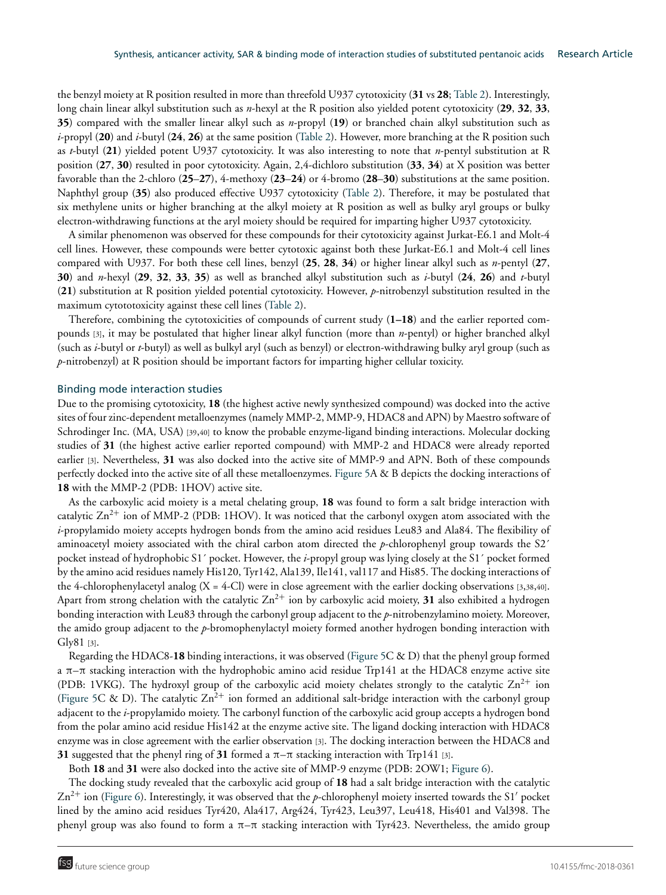the benzyl moiety at R position resulted in more than threefold U937 cytotoxicity (**31** vs **28**; Table 2). Interestingly, long chain linear alkyl substitution such as *n*-hexyl at the R position also yielded potent cytotoxicity (**29**, **32**, **33**, **35**) compared with the smaller linear alkyl such as *n*-propyl (**19**) or branched chain alkyl substitution such as *i*-propyl (**20**) and *i*-butyl (**24**, **26**) at the same position (Table 2). However, more branching at the R position such as *t*-butyl (**21**) yielded potent U937 cytotoxicity. It was also interesting to note that *n*-pentyl substitution at R position (**27**, **30**) resulted in poor cytotoxicity. Again, 2,4-dichloro substitution (**33**, **34**) at X position was better favorable than the 2-chloro (**25**–**27**), 4-methoxy (**23**–**24**) or 4-bromo (**28**–**30**) substitutions at the same position. Naphthyl group (**35**) also produced effective U937 cytotoxicity (Table 2). Therefore, it may be postulated that six methylene units or higher branching at the alkyl moiety at R position as well as bulky aryl groups or bulky electron-withdrawing functions at the aryl moiety should be required for imparting higher U937 cytotoxicity.

A similar phenomenon was observed for these compounds for their cytotoxicity against Jurkat-E6.1 and Molt-4 cell lines. However, these compounds were better cytotoxic against both these Jurkat-E6.1 and Molt-4 cell lines compared with U937. For both these cell lines, benzyl (**25**, **28**, **34**) or higher linear alkyl such as *n*-pentyl (**27**, **30**) and *n*-hexyl (**29**, **32**, **33**, **35**) as well as branched alkyl substitution such as *i*-butyl (**24**, **26**) and *t*-butyl (**21**) substitution at R position yielded potential cytotoxicity. However, *p*-nitrobenzyl substitution resulted in the maximum cytototoxicity against these cell lines (Table 2).

Therefore, combining the cytotoxicities of compounds of current study (**1–18**) and the earlier reported compounds [3], it may be postulated that higher linear alkyl function (more than *n*-pentyl) or higher branched alkyl (such as *i*-butyl or *t*-butyl) as well as bulkyl aryl (such as benzyl) or electron-withdrawing bulky aryl group (such as *p*-nitrobenzyl) at R position should be important factors for imparting higher cellular toxicity.

#### Binding mode interaction studies

Due to the promising cytotoxicity, **18** (the highest active newly synthesized compound) was docked into the active sites of four zinc-dependent metalloenzymes (namely MMP-2, MMP-9, HDAC8 and APN) by Maestro software of Schrodinger Inc. (MA, USA) [39,40] to know the probable enzyme-ligand binding interactions. Molecular docking studies of **31** (the highest active earlier reported compound) with MMP-2 and HDAC8 were already reported earlier [3]. Nevertheless, **31** was also docked into the active site of MMP-9 and APN. Both of these compounds perfectly docked into the active site of all these metalloenzymes. Figure 5A & B depicts the docking interactions of **18** with the MMP-2 (PDB: 1HOV) active site.

As the carboxylic acid moiety is a metal chelating group, **18** was found to form a salt bridge interaction with catalytic  $\rm Zn^{2+}$  ion of MMP-2 (PDB: 1HOV). It was noticed that the carbonyl oxygen atom associated with the *i*-propylamido moiety accepts hydrogen bonds from the amino acid residues Leu83 and Ala84. The flexibility of aminoacetyl moiety associated with the chiral carbon atom directed the *p*-chlorophenyl group towards the S2´ pocket instead of hydrophobic S1´ pocket. However, the *i*-propyl group was lying closely at the S1´ pocket formed by the amino acid residues namely His120, Tyr142, Ala139, Ile141, val117 and His85. The docking interactions of the 4-chlorophenylacetyl analog  $(X = 4$ -Cl) were in close agreement with the earlier docking observations [3,38,40]. Apart from strong chelation with the catalytic  $Zn^{2+}$  ion by carboxylic acid moiety, 31 also exhibited a hydrogen bonding interaction with Leu83 through the carbonyl group adjacent to the *p*-nitrobenzylamino moiety. Moreover, the amido group adjacent to the *p*-bromophenylactyl moiety formed another hydrogen bonding interaction with Gly81 [3].

Regarding the HDAC8-**18** binding interactions, it was observed (Figure 5C & D) that the phenyl group formed a π–π stacking interaction with the hydrophobic amino acid residue Trp141 at the HDAC8 enzyme active site (PDB: 1VKG). The hydroxyl group of the carboxylic acid moiety chelates strongly to the catalytic  $Zn^{2+}$  ion (Figure 5C & D). The catalytic  $\text{Zn}^{2+}$  ion formed an additional salt-bridge interaction with the carbonyl group adjacent to the *i*-propylamido moiety. The carbonyl function of the carboxylic acid group accepts a hydrogen bond from the polar amino acid residue His142 at the enzyme active site. The ligand docking interaction with HDAC8 enzyme was in close agreement with the earlier observation [3]. The docking interaction between the HDAC8 and **31** suggested that the phenyl ring of **31** formed a π–π stacking interaction with Trp141 [3].

Both **18** and **31** were also docked into the active site of MMP-9 enzyme (PDB: 2OW1; Figure 6).

The docking study revealed that the carboxylic acid group of **18** had a salt bridge interaction with the catalytic  $Zn^{2+}$  ion (Figure 6). Interestingly, it was observed that the *p*-chlorophenyl moiety inserted towards the S1' pocket lined by the amino acid residues Tyr420, Ala417, Arg424, Tyr423, Leu397, Leu418, His401 and Val398. The phenyl group was also found to form a π-π stacking interaction with Tyr423. Nevertheless, the amido group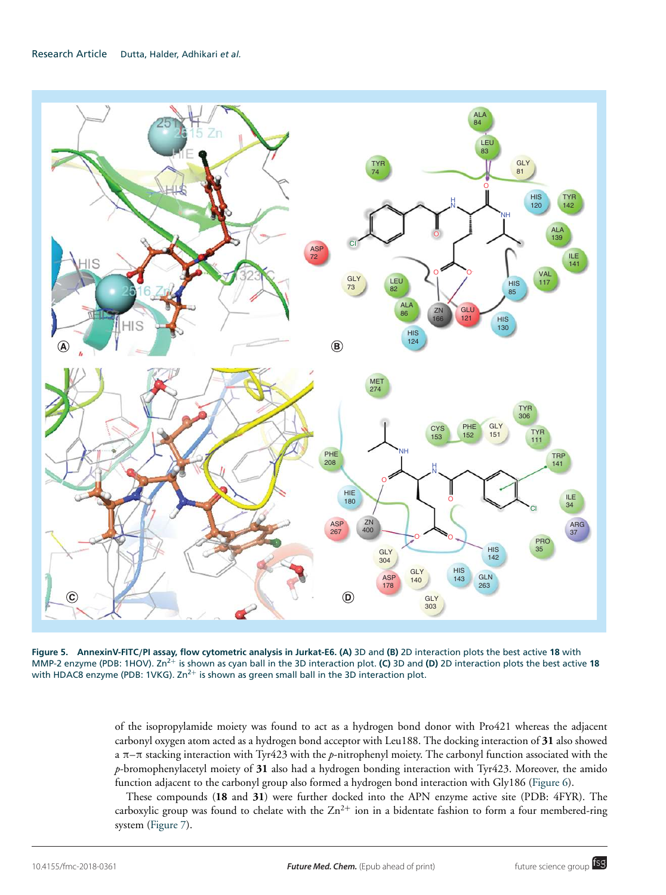

**Figure 5. AnnexinV-FITC**/**PI assay, flow cytometric analysis in Jurkat-E6. (A)** 3D and **(B)** 2D interaction plots the best active **18** with MMP-2 enzyme (PDB: 1HOV). Zn2<sup>+</sup> is shown as cyan ball in the 3D interaction plot. **(C)** 3D and **(D)** 2D interaction plots the best active **18** with HDAC8 enzyme (PDB: 1VKG).  $Zn^{2+}$  is shown as green small ball in the 3D interaction plot.

of the isopropylamide moiety was found to act as a hydrogen bond donor with Pro421 whereas the adjacent carbonyl oxygen atom acted as a hydrogen bond acceptor with Leu188. The docking interaction of **31** also showed a π–π stacking interaction with Tyr423 with the *p*-nitrophenyl moiety. The carbonyl function associated with the *p*-bromophenylacetyl moiety of **31** also had a hydrogen bonding interaction with Tyr423. Moreover, the amido function adjacent to the carbonyl group also formed a hydrogen bond interaction with Gly186 (Figure 6).

These compounds (**18** and **31**) were further docked into the APN enzyme active site (PDB: 4FYR). The carboxylic group was found to chelate with the  $Zn^{2+}$  ion in a bidentate fashion to form a four membered-ring system (Figure 7).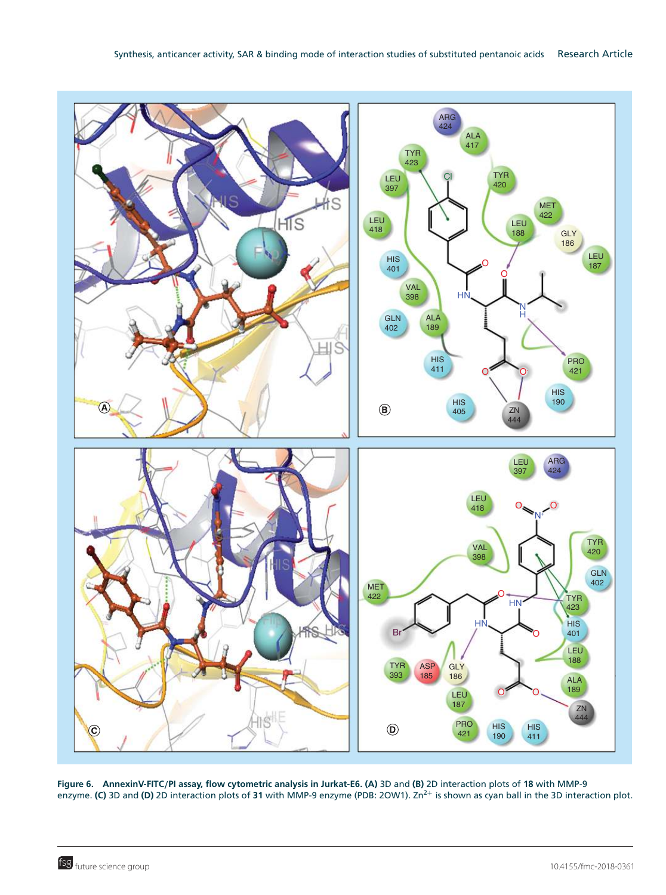

**Figure 6. AnnexinV-FITC**/**PI assay, flow cytometric analysis in Jurkat-E6. (A)** 3D and **(B)** 2D interaction plots of **18** with MMP-9 enzyme. **(C)** 3D and **(D)** 2D interaction plots of 31 with MMP-9 enzyme (PDB: 2OW1). Zn<sup>2+</sup> is shown as cyan ball in the 3D interaction plot.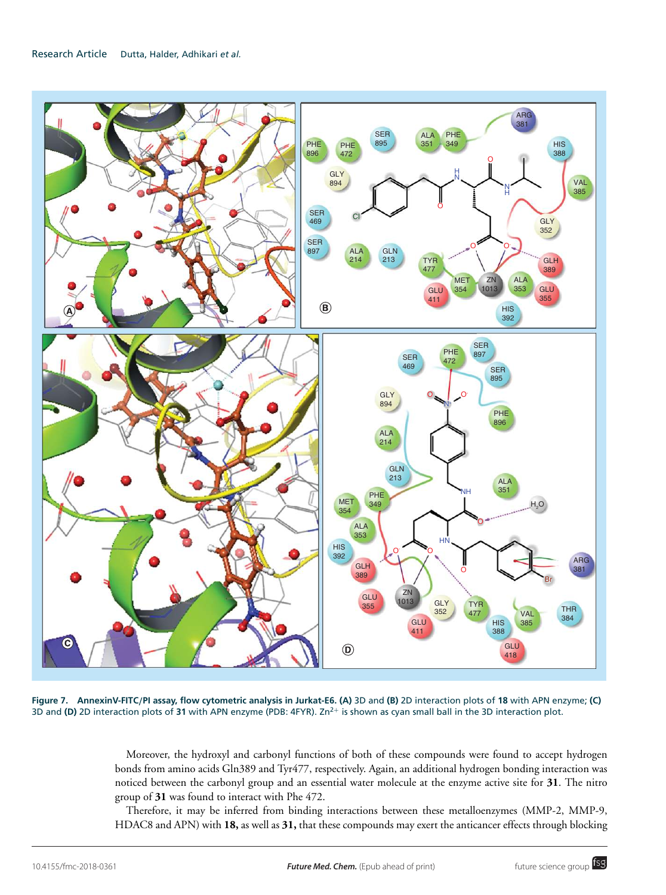

**Figure 7. AnnexinV-FITC**/**PI assay, flow cytometric analysis in Jurkat-E6. (A)** 3D and **(B)** 2D interaction plots of **18** with APN enzyme; **(C)** 3D and **(D)** 2D interaction plots of **31** with APN enzyme (PDB: 4FYR). Zn2<sup>+</sup> is shown as cyan small ball in the 3D interaction plot.

Moreover, the hydroxyl and carbonyl functions of both of these compounds were found to accept hydrogen bonds from amino acids Gln389 and Tyr477, respectively. Again, an additional hydrogen bonding interaction was noticed between the carbonyl group and an essential water molecule at the enzyme active site for **31**. The nitro group of **31** was found to interact with Phe 472.

Therefore, it may be inferred from binding interactions between these metalloenzymes (MMP-2, MMP-9, HDAC8 and APN) with **18,** as well as **31,** that these compounds may exert the anticancer effects through blocking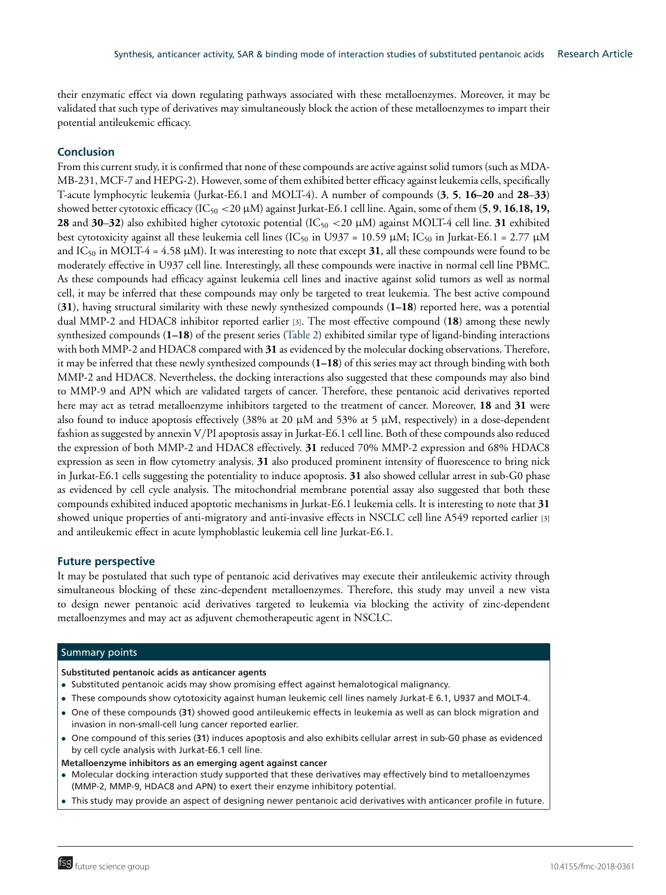their enzymatic effect via down regulating pathways associated with these metalloenzymes. Moreover, it may be validated that such type of derivatives may simultaneously block the action of these metalloenzymes to impart their potential antileukemic efficacy.

#### **Conclusion**

From this current study, it is confirmed that none of these compounds are active against solid tumors (such as MDA-MB-231, MCF-7 and HEPG-2). However, some of them exhibited better efficacy against leukemia cells, specifically T-acute lymphocytic leukemia (Jurkat-E6.1 and MOLT-4). A number of compounds (**3**, **5**, **16–20** and **28**–**33**) showed better cytotoxic efficacy (IC<sup>50</sup> <20 µM) against Jurkat-E6.1 cell line. Again, some of them (**5**, **9**, **16**,**18, 19, 28** and **30–32**) also exhibited higher cytotoxic potential  $(IC_{50} < 20 \mu M)$  against MOLT-4 cell line. **31** exhibited best cytotoxicity against all these leukemia cell lines (IC<sub>50</sub> in U937 = 10.59 µM; IC<sub>50</sub> in Jurkat-E6.1 = 2.77 µM and IC<sub>50</sub> in MOLT-4 = 4.58  $\mu$ M). It was interesting to note that except **31**, all these compounds were found to be moderately effective in U937 cell line. Interestingly, all these compounds were inactive in normal cell line PBMC. As these compounds had efficacy against leukemia cell lines and inactive against solid tumors as well as normal cell, it may be inferred that these compounds may only be targeted to treat leukemia. The best active compound (**31**), having structural similarity with these newly synthesized compounds (**1–18**) reported here, was a potential dual MMP-2 and HDAC8 inhibitor reported earlier [3]. The most effective compound (**18**) among these newly synthesized compounds (**1–18**) of the present series (Table 2) exhibited similar type of ligand-binding interactions with both MMP-2 and HDAC8 compared with **31** as evidenced by the molecular docking observations. Therefore, it may be inferred that these newly synthesized compounds (**1–18**) of this series may act through binding with both MMP-2 and HDAC8. Nevertheless, the docking interactions also suggested that these compounds may also bind to MMP-9 and APN which are validated targets of cancer. Therefore, these pentanoic acid derivatives reported here may act as tetrad metalloenzyme inhibitors targeted to the treatment of cancer. Moreover, **18** and **31** were also found to induce apoptosis effectively (38% at 20 µM and 53% at 5 µM, respectively) in a dose-dependent fashion as suggested by annexin V/PI apoptosis assay in Jurkat-E6.1 cell line. Both of these compounds also reduced the expression of both MMP-2 and HDAC8 effectively. **31** reduced 70% MMP-2 expression and 68% HDAC8 expression as seen in flow cytometry analysis. **31** also produced prominent intensity of fluorescence to bring nick in Jurkat-E6.1 cells suggesting the potentiality to induce apoptosis. **31** also showed cellular arrest in sub-G0 phase as evidenced by cell cycle analysis. The mitochondrial membrane potential assay also suggested that both these compounds exhibited induced apoptotic mechanisms in Jurkat-E6.1 leukemia cells. It is interesting to note that **31** showed unique properties of anti-migratory and anti-invasive effects in NSCLC cell line A549 reported earlier [3] and antileukemic effect in acute lymphoblastic leukemia cell line Jurkat-E6.1.

#### **Future perspective**

It may be postulated that such type of pentanoic acid derivatives may execute their antileukemic activity through simultaneous blocking of these zinc-dependent metalloenzymes. Therefore, this study may unveil a new vista to design newer pentanoic acid derivatives targeted to leukemia via blocking the activity of zinc-dependent metalloenzymes and may act as adjuvent chemotherapeutic agent in NSCLC.

#### Summary points

#### **Substituted pentanoic acids as anticancer agents**

- Substituted pentanoic acids may show promising effect against hemalotogical malignancy.
- These compounds show cytotoxicity against human leukemic cell lines namely Jurkat-E 6.1, U937 and MOLT-4.
- One of these compounds (**31**) showed good antileukemic effects in leukemia as well as can block migration and invasion in non-small-cell lung cancer reported earlier.
- One compound of this series (**31**) induces apoptosis and also exhibits cellular arrest in sub-G0 phase as evidenced by cell cycle analysis with Jurkat-E6.1 cell line.

#### **Metalloenzyme inhibitors as an emerging agent against cancer**

- Molecular docking interaction study supported that these derivatives may effectively bind to metalloenzymes (MMP-2, MMP-9, HDAC8 and APN) to exert their enzyme inhibitory potential.
- This study may provide an aspect of designing newer pentanoic acid derivatives with anticancer profile in future.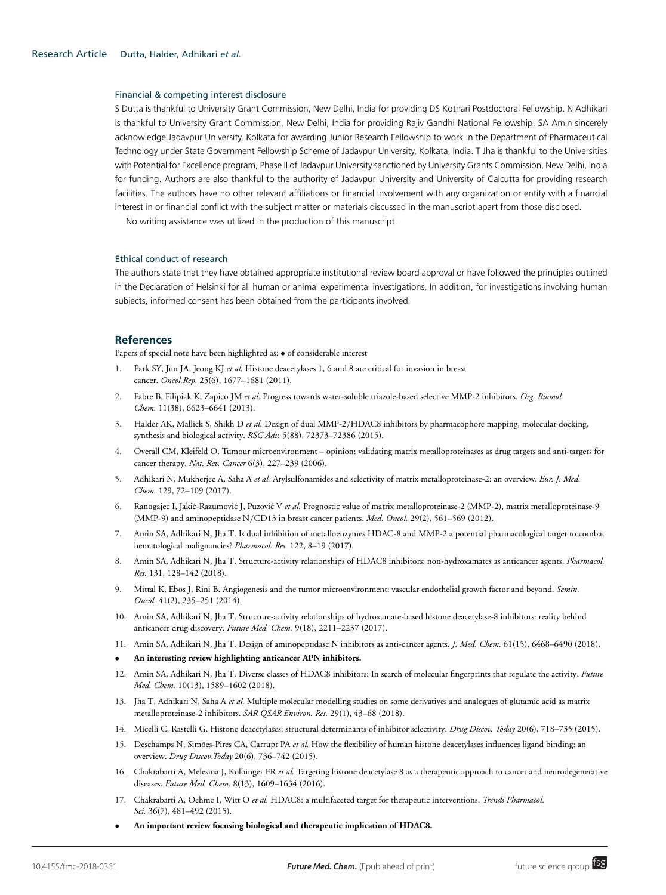#### Financial & competing interest disclosure

S Dutta is thankful to University Grant Commission, New Delhi, India for providing DS Kothari Postdoctoral Fellowship. N Adhikari is thankful to University Grant Commission, New Delhi, India for providing Rajiv Gandhi National Fellowship. SA Amin sincerely acknowledge Jadavpur University, Kolkata for awarding Junior Research Fellowship to work in the Department of Pharmaceutical Technology under State Government Fellowship Scheme of Jadavpur University, Kolkata, India. T Jha is thankful to the Universities with Potential for Excellence program, Phase II of Jadavpur University sanctioned by University Grants Commission, New Delhi, India for funding. Authors are also thankful to the authority of Jadavpur University and University of Calcutta for providing research facilities. The authors have no other relevant affiliations or financial involvement with any organization or entity with a financial interest in or financial conflict with the subject matter or materials discussed in the manuscript apart from those disclosed.

No writing assistance was utilized in the production of this manuscript.

#### Ethical conduct of research

The authors state that they have obtained appropriate institutional review board approval or have followed the principles outlined in the Declaration of Helsinki for all human or animal experimental investigations. In addition, for investigations involving human subjects, informed consent has been obtained from the participants involved.

#### **References**

Papers of special note have been highlighted as: • of considerable interest

- 1. Park SY, Jun JA, Jeong KJ *et al.* Histone deacetylases 1, 6 and 8 are critical for invasion in breast cancer. *Oncol.Rep.* 25(6), 1677–1681 (2011).
- 2. Fabre B, Filipiak K, Zapico JM *et al.* Progress towards water-soluble triazole-based selective MMP-2 inhibitors. *Org. Biomol. Chem.* 11(38), 6623–6641 (2013).
- 3. Halder AK, Mallick S, Shikh D *et al.* Design of dual MMP-2/HDAC8 inhibitors by pharmacophore mapping, molecular docking, synthesis and biological activity. *RSC Adv.* 5(88), 72373–72386 (2015).
- 4. Overall CM, Kleifeld O. Tumour microenvironment opinion: validating matrix metalloproteinases as drug targets and anti-targets for cancer therapy. *Nat. Rev. Cancer* 6(3), 227–239 (2006).
- 5. Adhikari N, Mukherjee A, Saha A *et al.* Arylsulfonamides and selectivity of matrix metalloproteinase-2: an overview. *Eur. J. Med. Chem.* 129, 72–109 (2017).
- 6. Ranogajec I, Jakić-Razumović J, Puzović V et al. Prognostic value of matrix metalloproteinase-2 (MMP-2), matrix metalloproteinase-9 (MMP-9) and aminopeptidase N/CD13 in breast cancer patients. *Med. Oncol.* 29(2), 561–569 (2012).
- 7. Amin SA, Adhikari N, Jha T. Is dual inhibition of metalloenzymes HDAC-8 and MMP-2 a potential pharmacological target to combat hematological malignancies? *Pharmacol. Res.* 122, 8–19 (2017).
- 8. Amin SA, Adhikari N, Jha T. Structure-activity relationships of HDAC8 inhibitors: non-hydroxamates as anticancer agents. *Pharmacol. Res.* 131, 128–142 (2018).
- 9. Mittal K, Ebos J, Rini B. Angiogenesis and the tumor microenvironment: vascular endothelial growth factor and beyond. *Semin. Oncol.* 41(2), 235–251 (2014).
- 10. Amin SA, Adhikari N, Jha T. Structure-activity relationships of hydroxamate-based histone deacetylase-8 inhibitors: reality behind anticancer drug discovery. *Future Med. Chem.* 9(18), 2211–2237 (2017).
- 11. Amin SA, Adhikari N, Jha T. Design of aminopeptidase N inhibitors as anti-cancer agents. *J. Med. Chem.* 61(15), 6468–6490 (2018).
- **An interesting review highlighting anticancer APN inhibitors.**
- 12. Amin SA, Adhikari N, Jha T. Diverse classes of HDAC8 inhibitors: In search of molecular fingerprints that regulate the activity. *Future Med. Chem.* 10(13), 1589–1602 (2018).
- 13. Jha T, Adhikari N, Saha A *et al.* Multiple molecular modelling studies on some derivatives and analogues of glutamic acid as matrix metalloproteinase-2 inhibitors. *SAR QSAR Environ. Res.* 29(1), 43–68 (2018).
- 14. Micelli C, Rastelli G. Histone deacetylases: structural determinants of inhibitor selectivity. *Drug Discov. Today* 20(6), 718–735 (2015).
- 15. Deschamps N, Simões-Pires CA, Carrupt PA et al. How the flexibility of human histone deacetylases influences ligand binding: an overview. *Drug Discov.Today* 20(6), 736–742 (2015).
- 16. Chakrabarti A, Melesina J, Kolbinger FR *et al.* Targeting histone deacetylase 8 as a therapeutic approach to cancer and neurodegenerative diseases. *Future Med. Chem.* 8(13), 1609–1634 (2016).
- 17. Chakrabarti A, Oehme I, Witt O *et al.* HDAC8: a multifaceted target for therapeutic interventions. *Trends Pharmacol. Sci.* 36(7), 481–492 (2015).
- **An important review focusing biological and therapeutic implication of HDAC8.**